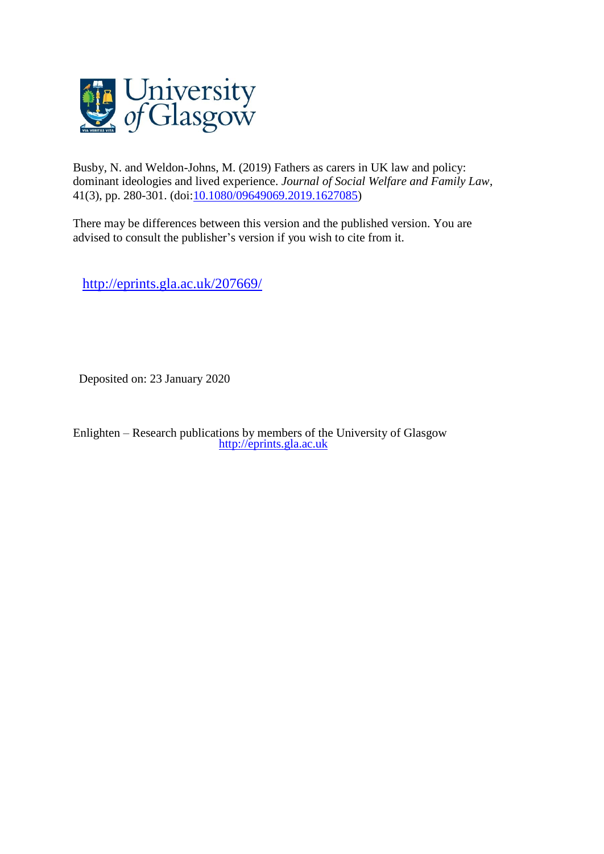

Busby, N. and Weldon-Johns, M. (2019) Fathers as carers in UK law and policy: dominant ideologies and lived experience. *Journal of Social Welfare and Family Law*, 41(3), pp. 280-301. (doi[:10.1080/09649069.2019.1627085\)](http://dx.doi.org/10.1080/09649069.2019.1627085)

There may be differences between this version and the published version. You are advised to consult the publisher's version if you wish to cite from it.

<http://eprints.gla.ac.uk/207669/>

Deposited on: 23 January 2020

Enlighten – Research publications by members of the University of Glasgow [http://eprints.gla.ac.uk](http://eprints.gla.ac.uk/)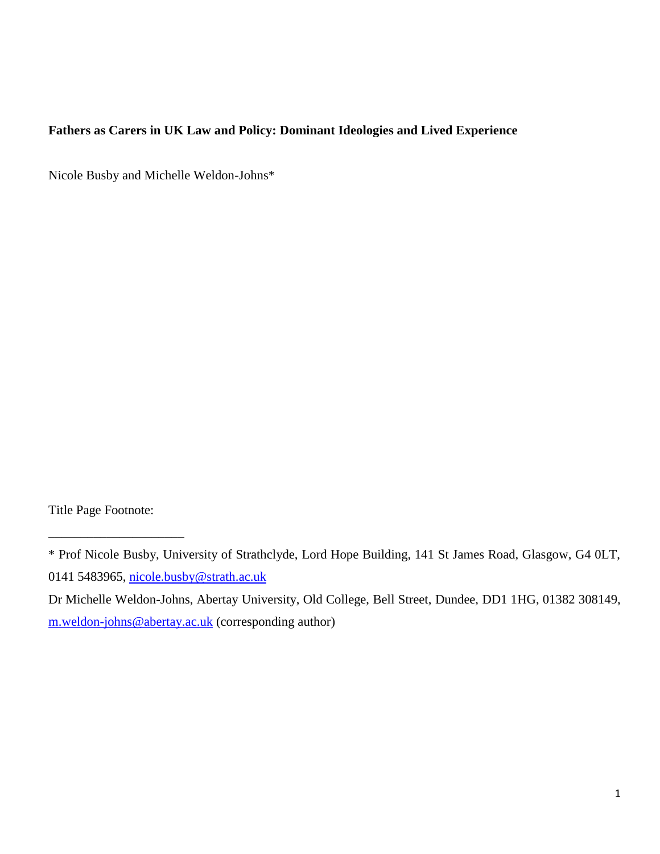# **Fathers as Carers in UK Law and Policy: Dominant Ideologies and Lived Experience**

Nicole Busby and Michelle Weldon-Johns\*

Title Page Footnote:

\_\_\_\_\_\_\_\_\_\_\_\_\_\_\_\_\_\_\_\_\_

<sup>\*</sup> Prof Nicole Busby, University of Strathclyde, Lord Hope Building, 141 St James Road, Glasgow, G4 0LT, 0141 5483965, [nicole.busby@strath.ac.uk](mailto:nicole.busby@strath.ac.uk)

Dr Michelle Weldon-Johns, Abertay University, Old College, Bell Street, Dundee, DD1 1HG, 01382 308149, [m.weldon-johns@abertay.ac.uk](mailto:m.weldon-johns@abertay.ac.uk) (corresponding author)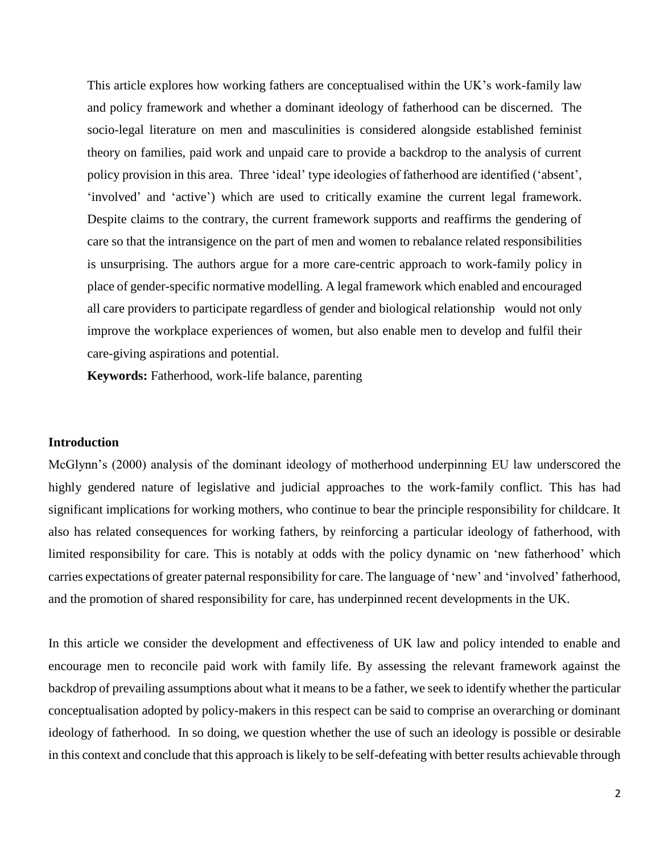This article explores how working fathers are conceptualised within the UK's work-family law and policy framework and whether a dominant ideology of fatherhood can be discerned. The socio-legal literature on men and masculinities is considered alongside established feminist theory on families, paid work and unpaid care to provide a backdrop to the analysis of current policy provision in this area. Three 'ideal' type ideologies of fatherhood are identified ('absent', 'involved' and 'active') which are used to critically examine the current legal framework. Despite claims to the contrary, the current framework supports and reaffirms the gendering of care so that the intransigence on the part of men and women to rebalance related responsibilities is unsurprising. The authors argue for a more care-centric approach to work-family policy in place of gender-specific normative modelling. A legal framework which enabled and encouraged all care providers to participate regardless of gender and biological relationship would not only improve the workplace experiences of women, but also enable men to develop and fulfil their care-giving aspirations and potential.

**Keywords:** Fatherhood, work-life balance, parenting

#### **Introduction**

McGlynn's (2000) analysis of the dominant ideology of motherhood underpinning EU law underscored the highly gendered nature of legislative and judicial approaches to the work-family conflict. This has had significant implications for working mothers, who continue to bear the principle responsibility for childcare. It also has related consequences for working fathers, by reinforcing a particular ideology of fatherhood, with limited responsibility for care. This is notably at odds with the policy dynamic on 'new fatherhood' which carries expectations of greater paternal responsibility for care. The language of 'new' and 'involved' fatherhood, and the promotion of shared responsibility for care, has underpinned recent developments in the UK.

In this article we consider the development and effectiveness of UK law and policy intended to enable and encourage men to reconcile paid work with family life. By assessing the relevant framework against the backdrop of prevailing assumptions about what it means to be a father, we seek to identify whether the particular conceptualisation adopted by policy-makers in this respect can be said to comprise an overarching or dominant ideology of fatherhood. In so doing, we question whether the use of such an ideology is possible or desirable in this context and conclude that this approach is likely to be self-defeating with better results achievable through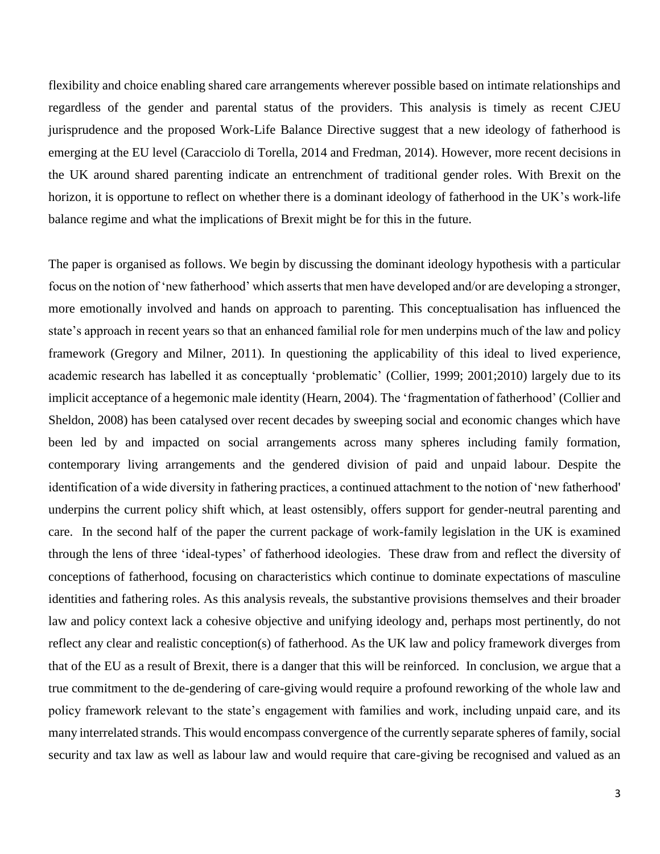flexibility and choice enabling shared care arrangements wherever possible based on intimate relationships and regardless of the gender and parental status of the providers. This analysis is timely as recent CJEU jurisprudence and the proposed Work-Life Balance Directive suggest that a new ideology of fatherhood is emerging at the EU level (Caracciolo di Torella, 2014 and Fredman, 2014). However, more recent decisions in the UK around shared parenting indicate an entrenchment of traditional gender roles. With Brexit on the horizon, it is opportune to reflect on whether there is a dominant ideology of fatherhood in the UK's work-life balance regime and what the implications of Brexit might be for this in the future.

The paper is organised as follows. We begin by discussing the dominant ideology hypothesis with a particular focus on the notion of 'new fatherhood' which asserts that men have developed and/or are developing a stronger, more emotionally involved and hands on approach to parenting. This conceptualisation has influenced the state's approach in recent years so that an enhanced familial role for men underpins much of the law and policy framework (Gregory and Milner, 2011). In questioning the applicability of this ideal to lived experience, academic research has labelled it as conceptually 'problematic' (Collier, 1999; 2001;2010) largely due to its implicit acceptance of a hegemonic male identity (Hearn, 2004). The 'fragmentation of fatherhood' (Collier and Sheldon, 2008) has been catalysed over recent decades by sweeping social and economic changes which have been led by and impacted on social arrangements across many spheres including family formation, contemporary living arrangements and the gendered division of paid and unpaid labour. Despite the identification of a wide diversity in fathering practices, a continued attachment to the notion of 'new fatherhood' underpins the current policy shift which, at least ostensibly, offers support for gender-neutral parenting and care. In the second half of the paper the current package of work-family legislation in the UK is examined through the lens of three 'ideal-types' of fatherhood ideologies. These draw from and reflect the diversity of conceptions of fatherhood, focusing on characteristics which continue to dominate expectations of masculine identities and fathering roles. As this analysis reveals, the substantive provisions themselves and their broader law and policy context lack a cohesive objective and unifying ideology and, perhaps most pertinently, do not reflect any clear and realistic conception(s) of fatherhood. As the UK law and policy framework diverges from that of the EU as a result of Brexit, there is a danger that this will be reinforced. In conclusion, we argue that a true commitment to the de-gendering of care-giving would require a profound reworking of the whole law and policy framework relevant to the state's engagement with families and work, including unpaid care, and its many interrelated strands. This would encompass convergence of the currently separate spheres of family, social security and tax law as well as labour law and would require that care-giving be recognised and valued as an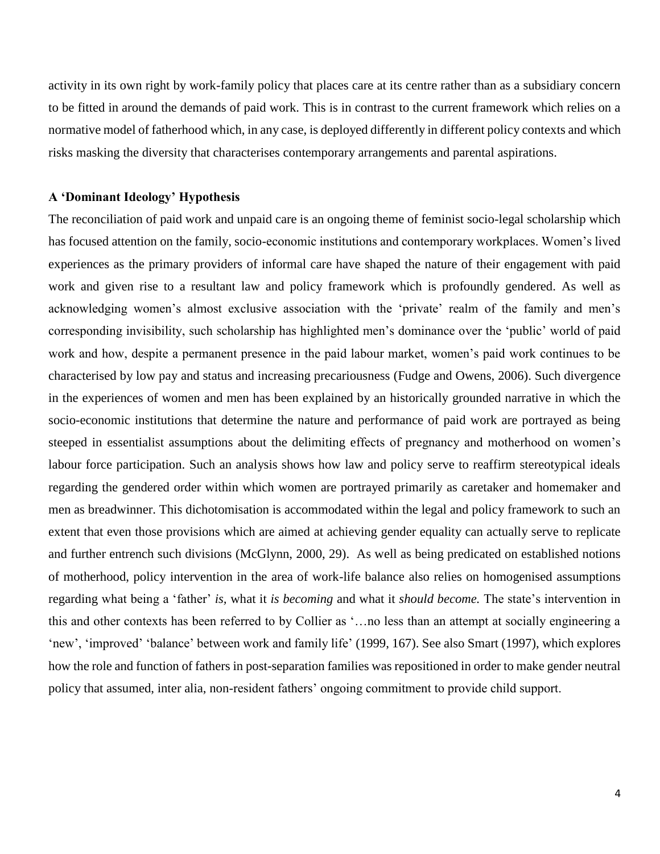activity in its own right by work-family policy that places care at its centre rather than as a subsidiary concern to be fitted in around the demands of paid work. This is in contrast to the current framework which relies on a normative model of fatherhood which, in any case, is deployed differently in different policy contexts and which risks masking the diversity that characterises contemporary arrangements and parental aspirations.

## **A 'Dominant Ideology' Hypothesis**

The reconciliation of paid work and unpaid care is an ongoing theme of feminist socio-legal scholarship which has focused attention on the family, socio-economic institutions and contemporary workplaces. Women's lived experiences as the primary providers of informal care have shaped the nature of their engagement with paid work and given rise to a resultant law and policy framework which is profoundly gendered. As well as acknowledging women's almost exclusive association with the 'private' realm of the family and men's corresponding invisibility, such scholarship has highlighted men's dominance over the 'public' world of paid work and how, despite a permanent presence in the paid labour market, women's paid work continues to be characterised by low pay and status and increasing precariousness (Fudge and Owens, 2006). Such divergence in the experiences of women and men has been explained by an historically grounded narrative in which the socio-economic institutions that determine the nature and performance of paid work are portrayed as being steeped in essentialist assumptions about the delimiting effects of pregnancy and motherhood on women's labour force participation. Such an analysis shows how law and policy serve to reaffirm stereotypical ideals regarding the gendered order within which women are portrayed primarily as caretaker and homemaker and men as breadwinner. This dichotomisation is accommodated within the legal and policy framework to such an extent that even those provisions which are aimed at achieving gender equality can actually serve to replicate and further entrench such divisions (McGlynn, 2000, 29). As well as being predicated on established notions of motherhood, policy intervention in the area of work-life balance also relies on homogenised assumptions regarding what being a 'father' *is,* what it *is becoming* and what it *should become.* The state's intervention in this and other contexts has been referred to by Collier as '…no less than an attempt at socially engineering a 'new', 'improved' 'balance' between work and family life' (1999, 167). See also Smart (1997), which explores how the role and function of fathers in post-separation families was repositioned in order to make gender neutral policy that assumed, inter alia, non-resident fathers' ongoing commitment to provide child support.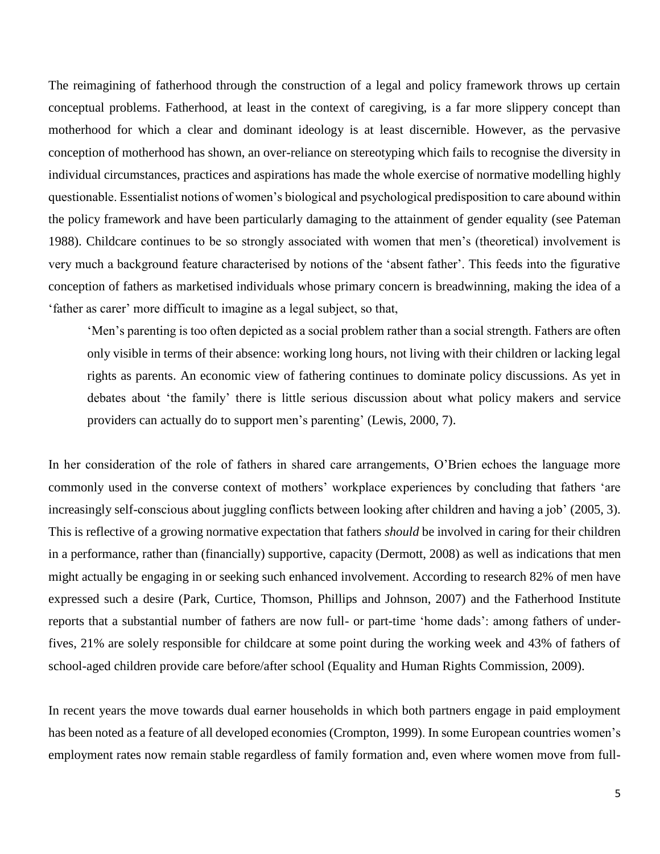The reimagining of fatherhood through the construction of a legal and policy framework throws up certain conceptual problems. Fatherhood, at least in the context of caregiving, is a far more slippery concept than motherhood for which a clear and dominant ideology is at least discernible. However, as the pervasive conception of motherhood has shown, an over-reliance on stereotyping which fails to recognise the diversity in individual circumstances, practices and aspirations has made the whole exercise of normative modelling highly questionable. Essentialist notions of women's biological and psychological predisposition to care abound within the policy framework and have been particularly damaging to the attainment of gender equality (see Pateman 1988). Childcare continues to be so strongly associated with women that men's (theoretical) involvement is very much a background feature characterised by notions of the 'absent father'. This feeds into the figurative conception of fathers as marketised individuals whose primary concern is breadwinning, making the idea of a 'father as carer' more difficult to imagine as a legal subject, so that,

'Men's parenting is too often depicted as a social problem rather than a social strength. Fathers are often only visible in terms of their absence: working long hours, not living with their children or lacking legal rights as parents. An economic view of fathering continues to dominate policy discussions. As yet in debates about 'the family' there is little serious discussion about what policy makers and service providers can actually do to support men's parenting' (Lewis, 2000, 7).

In her consideration of the role of fathers in shared care arrangements, O'Brien echoes the language more commonly used in the converse context of mothers' workplace experiences by concluding that fathers 'are increasingly self-conscious about juggling conflicts between looking after children and having a job' (2005, 3). This is reflective of a growing normative expectation that fathers *should* be involved in caring for their children in a performance, rather than (financially) supportive, capacity (Dermott, 2008) as well as indications that men might actually be engaging in or seeking such enhanced involvement. According to research 82% of men have expressed such a desire (Park, Curtice, Thomson, Phillips and Johnson, 2007) and the Fatherhood Institute reports that a substantial number of fathers are now full- or part-time 'home dads': among fathers of underfives, 21% are solely responsible for childcare at some point during the working week and 43% of fathers of school-aged children provide care before/after school (Equality and Human Rights Commission, 2009).

In recent years the move towards dual earner households in which both partners engage in paid employment has been noted as a feature of all developed economies (Crompton, 1999). In some European countries women's employment rates now remain stable regardless of family formation and, even where women move from full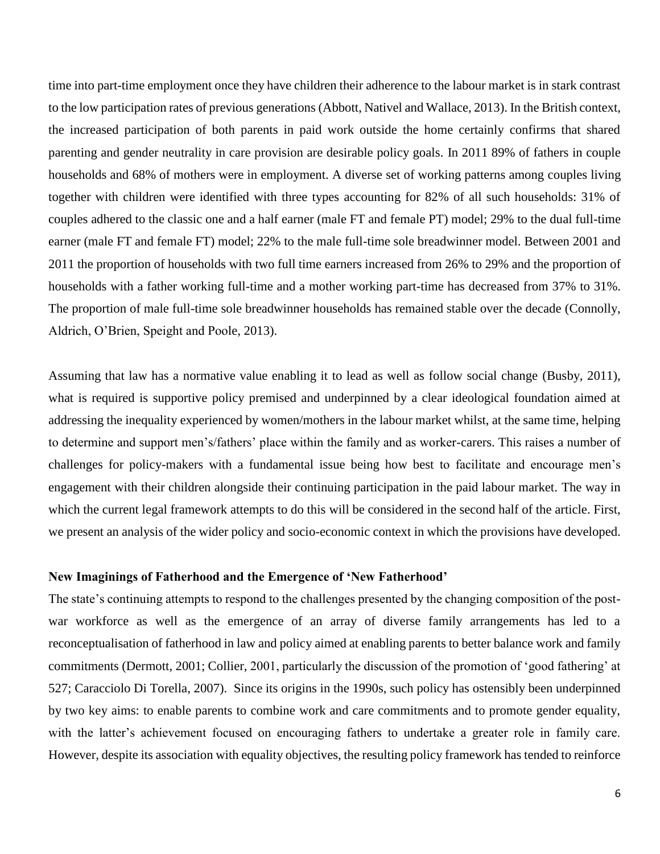time into part-time employment once they have children their adherence to the labour market is in stark contrast to the low participation rates of previous generations (Abbott, Nativel and Wallace, 2013). In the British context, the increased participation of both parents in paid work outside the home certainly confirms that shared parenting and gender neutrality in care provision are desirable policy goals. In 2011 89% of fathers in couple households and 68% of mothers were in employment. A diverse set of working patterns among couples living together with children were identified with three types accounting for 82% of all such households: 31% of couples adhered to the classic one and a half earner (male FT and female PT) model; 29% to the dual full-time earner (male FT and female FT) model; 22% to the male full-time sole breadwinner model. Between 2001 and 2011 the proportion of households with two full time earners increased from 26% to 29% and the proportion of households with a father working full-time and a mother working part-time has decreased from 37% to 31%. The proportion of male full-time sole breadwinner households has remained stable over the decade (Connolly, Aldrich, O'Brien, Speight and Poole, 2013).

Assuming that law has a normative value enabling it to lead as well as follow social change (Busby, 2011), what is required is supportive policy premised and underpinned by a clear ideological foundation aimed at addressing the inequality experienced by women/mothers in the labour market whilst, at the same time, helping to determine and support men's/fathers' place within the family and as worker-carers. This raises a number of challenges for policy-makers with a fundamental issue being how best to facilitate and encourage men's engagement with their children alongside their continuing participation in the paid labour market. The way in which the current legal framework attempts to do this will be considered in the second half of the article. First, we present an analysis of the wider policy and socio-economic context in which the provisions have developed.

#### **New Imaginings of Fatherhood and the Emergence of 'New Fatherhood'**

The state's continuing attempts to respond to the challenges presented by the changing composition of the postwar workforce as well as the emergence of an array of diverse family arrangements has led to a reconceptualisation of fatherhood in law and policy aimed at enabling parents to better balance work and family commitments (Dermott, 2001; Collier, 2001, particularly the discussion of the promotion of 'good fathering' at 527; Caracciolo Di Torella, 2007). Since its origins in the 1990s, such policy has ostensibly been underpinned by two key aims: to enable parents to combine work and care commitments and to promote gender equality, with the latter's achievement focused on encouraging fathers to undertake a greater role in family care. However, despite its association with equality objectives, the resulting policy framework has tended to reinforce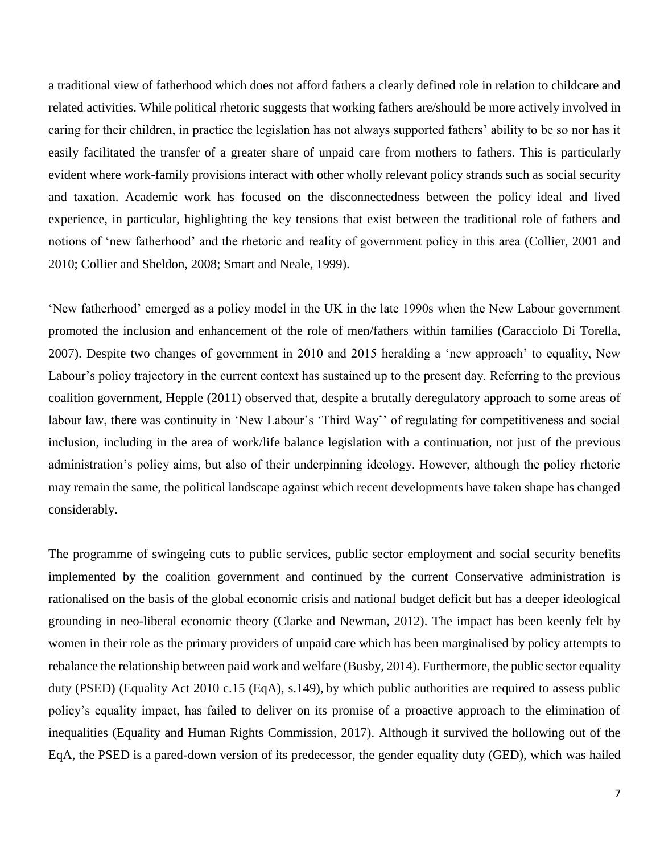a traditional view of fatherhood which does not afford fathers a clearly defined role in relation to childcare and related activities. While political rhetoric suggests that working fathers are/should be more actively involved in caring for their children, in practice the legislation has not always supported fathers' ability to be so nor has it easily facilitated the transfer of a greater share of unpaid care from mothers to fathers. This is particularly evident where work-family provisions interact with other wholly relevant policy strands such as social security and taxation. Academic work has focused on the disconnectedness between the policy ideal and lived experience, in particular, highlighting the key tensions that exist between the traditional role of fathers and notions of 'new fatherhood' and the rhetoric and reality of government policy in this area (Collier, 2001 and 2010; Collier and Sheldon, 2008; Smart and Neale, 1999).

'New fatherhood' emerged as a policy model in the UK in the late 1990s when the New Labour government promoted the inclusion and enhancement of the role of men/fathers within families (Caracciolo Di Torella, 2007). Despite two changes of government in 2010 and 2015 heralding a 'new approach' to equality, New Labour's policy trajectory in the current context has sustained up to the present day. Referring to the previous coalition government, Hepple (2011) observed that, despite a brutally deregulatory approach to some areas of labour law, there was continuity in 'New Labour's 'Third Way'' of regulating for competitiveness and social inclusion, including in the area of work/life balance legislation with a continuation, not just of the previous administration's policy aims, but also of their underpinning ideology. However, although the policy rhetoric may remain the same, the political landscape against which recent developments have taken shape has changed considerably.

The programme of swingeing cuts to public services, public sector employment and social security benefits implemented by the coalition government and continued by the current Conservative administration is rationalised on the basis of the global economic crisis and national budget deficit but has a deeper ideological grounding in neo-liberal economic theory (Clarke and Newman, 2012). The impact has been keenly felt by women in their role as the primary providers of unpaid care which has been marginalised by policy attempts to rebalance the relationship between paid work and welfare (Busby, 2014). Furthermore, the public sector equality duty (PSED) (Equality Act 2010 c.15 (EqA), s.149), by which public authorities are required to assess public policy's equality impact, has failed to deliver on its promise of a proactive approach to the elimination of inequalities (Equality and Human Rights Commission, 2017). Although it survived the hollowing out of the EqA, the PSED is a pared-down version of its predecessor, the gender equality duty (GED), which was hailed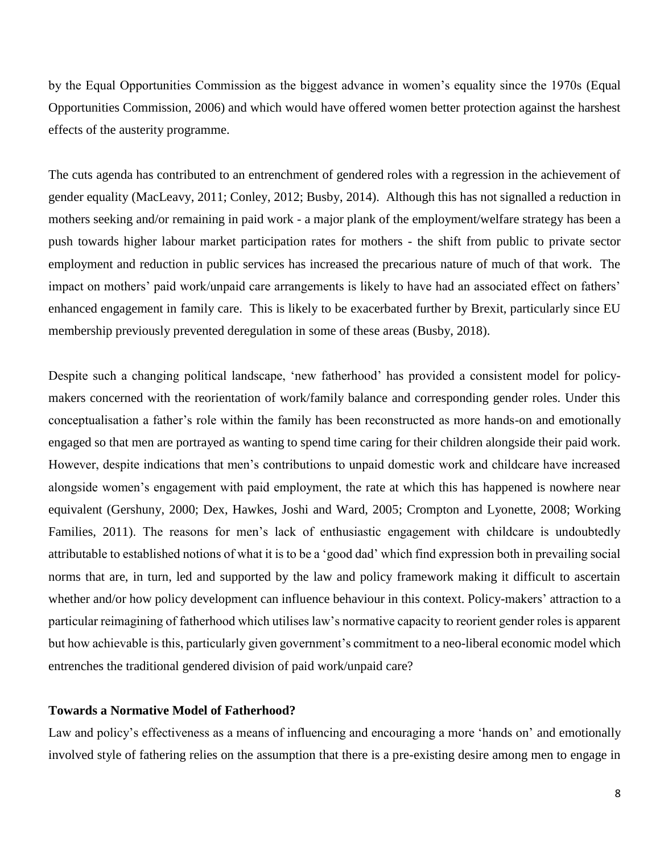by the Equal Opportunities Commission as the biggest advance in women's equality since the 1970s (Equal Opportunities Commission, 2006) and which would have offered women better protection against the harshest effects of the austerity programme.

The cuts agenda has contributed to an entrenchment of gendered roles with a regression in the achievement of gender equality (MacLeavy, 2011; Conley, 2012; Busby, 2014). Although this has not signalled a reduction in mothers seeking and/or remaining in paid work - a major plank of the employment/welfare strategy has been a push towards higher labour market participation rates for mothers - the shift from public to private sector employment and reduction in public services has increased the precarious nature of much of that work. The impact on mothers' paid work/unpaid care arrangements is likely to have had an associated effect on fathers' enhanced engagement in family care. This is likely to be exacerbated further by Brexit, particularly since EU membership previously prevented deregulation in some of these areas (Busby, 2018).

Despite such a changing political landscape, 'new fatherhood' has provided a consistent model for policymakers concerned with the reorientation of work/family balance and corresponding gender roles. Under this conceptualisation a father's role within the family has been reconstructed as more hands-on and emotionally engaged so that men are portrayed as wanting to spend time caring for their children alongside their paid work. However, despite indications that men's contributions to unpaid domestic work and childcare have increased alongside women's engagement with paid employment, the rate at which this has happened is nowhere near equivalent (Gershuny, 2000; Dex, Hawkes, Joshi and Ward, 2005; Crompton and Lyonette, 2008; Working Families, 2011). The reasons for men's lack of enthusiastic engagement with childcare is undoubtedly attributable to established notions of what it is to be a 'good dad' which find expression both in prevailing social norms that are, in turn, led and supported by the law and policy framework making it difficult to ascertain whether and/or how policy development can influence behaviour in this context. Policy-makers' attraction to a particular reimagining of fatherhood which utilises law's normative capacity to reorient gender roles is apparent but how achievable is this, particularly given government's commitment to a neo-liberal economic model which entrenches the traditional gendered division of paid work/unpaid care?

## **Towards a Normative Model of Fatherhood?**

Law and policy's effectiveness as a means of influencing and encouraging a more 'hands on' and emotionally involved style of fathering relies on the assumption that there is a pre-existing desire among men to engage in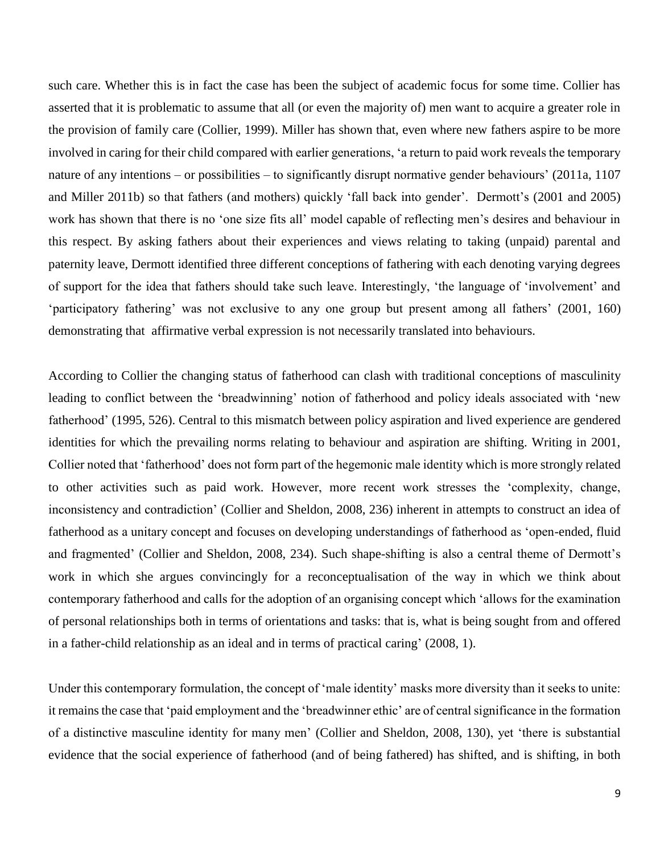such care. Whether this is in fact the case has been the subject of academic focus for some time. Collier has asserted that it is problematic to assume that all (or even the majority of) men want to acquire a greater role in the provision of family care (Collier, 1999). Miller has shown that, even where new fathers aspire to be more involved in caring for their child compared with earlier generations, 'a return to paid work reveals the temporary nature of any intentions – or possibilities – to significantly disrupt normative gender behaviours' (2011a, 1107 and Miller 2011b) so that fathers (and mothers) quickly 'fall back into gender'. Dermott's (2001 and 2005) work has shown that there is no 'one size fits all' model capable of reflecting men's desires and behaviour in this respect. By asking fathers about their experiences and views relating to taking (unpaid) parental and paternity leave, Dermott identified three different conceptions of fathering with each denoting varying degrees of support for the idea that fathers should take such leave. Interestingly, 'the language of 'involvement' and 'participatory fathering' was not exclusive to any one group but present among all fathers' (2001, 160) demonstrating that affirmative verbal expression is not necessarily translated into behaviours.

According to Collier the changing status of fatherhood can clash with traditional conceptions of masculinity leading to conflict between the 'breadwinning' notion of fatherhood and policy ideals associated with 'new fatherhood' (1995, 526). Central to this mismatch between policy aspiration and lived experience are gendered identities for which the prevailing norms relating to behaviour and aspiration are shifting. Writing in 2001, Collier noted that 'fatherhood' does not form part of the hegemonic male identity which is more strongly related to other activities such as paid work. However, more recent work stresses the 'complexity, change, inconsistency and contradiction' (Collier and Sheldon, 2008, 236) inherent in attempts to construct an idea of fatherhood as a unitary concept and focuses on developing understandings of fatherhood as 'open-ended, fluid and fragmented' (Collier and Sheldon, 2008, 234). Such shape-shifting is also a central theme of Dermott's work in which she argues convincingly for a reconceptualisation of the way in which we think about contemporary fatherhood and calls for the adoption of an organising concept which 'allows for the examination of personal relationships both in terms of orientations and tasks: that is, what is being sought from and offered in a father-child relationship as an ideal and in terms of practical caring' (2008, 1).

Under this contemporary formulation, the concept of 'male identity' masks more diversity than it seeks to unite: it remains the case that 'paid employment and the 'breadwinner ethic' are of central significance in the formation of a distinctive masculine identity for many men' (Collier and Sheldon, 2008, 130), yet 'there is substantial evidence that the social experience of fatherhood (and of being fathered) has shifted, and is shifting, in both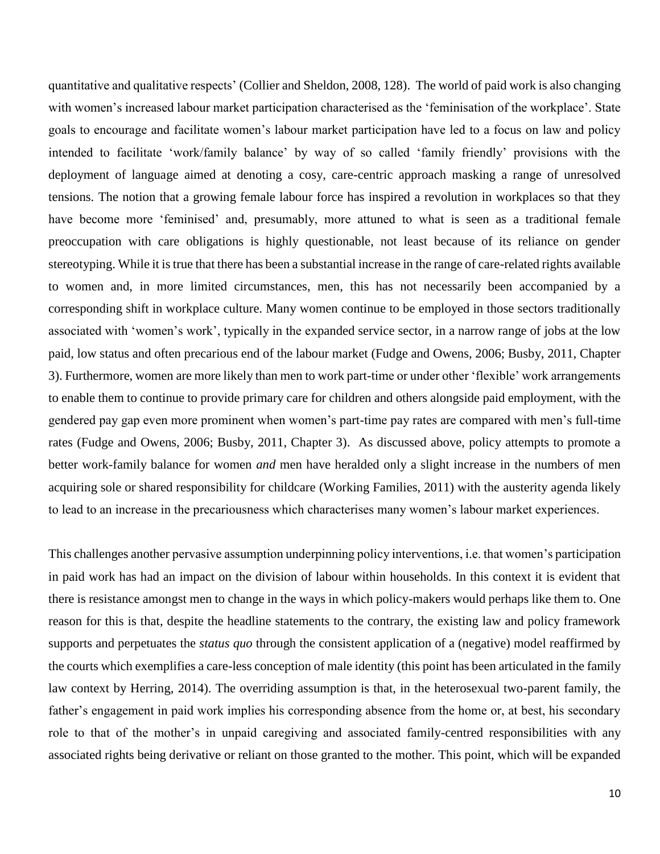quantitative and qualitative respects' (Collier and Sheldon, 2008, 128). The world of paid work is also changing with women's increased labour market participation characterised as the 'feminisation of the workplace'. State goals to encourage and facilitate women's labour market participation have led to a focus on law and policy intended to facilitate 'work/family balance' by way of so called 'family friendly' provisions with the deployment of language aimed at denoting a cosy, care-centric approach masking a range of unresolved tensions. The notion that a growing female labour force has inspired a revolution in workplaces so that they have become more 'feminised' and, presumably, more attuned to what is seen as a traditional female preoccupation with care obligations is highly questionable, not least because of its reliance on gender stereotyping. While it is true that there has been a substantial increase in the range of care-related rights available to women and, in more limited circumstances, men, this has not necessarily been accompanied by a corresponding shift in workplace culture. Many women continue to be employed in those sectors traditionally associated with 'women's work', typically in the expanded service sector, in a narrow range of jobs at the low paid, low status and often precarious end of the labour market (Fudge and Owens, 2006; Busby, 2011, Chapter 3). Furthermore, women are more likely than men to work part-time or under other 'flexible' work arrangements to enable them to continue to provide primary care for children and others alongside paid employment, with the gendered pay gap even more prominent when women's part-time pay rates are compared with men's full-time rates (Fudge and Owens, 2006; Busby, 2011, Chapter 3). As discussed above, policy attempts to promote a better work-family balance for women *and* men have heralded only a slight increase in the numbers of men acquiring sole or shared responsibility for childcare (Working Families, 2011) with the austerity agenda likely to lead to an increase in the precariousness which characterises many women's labour market experiences.

This challenges another pervasive assumption underpinning policy interventions, i.e. that women's participation in paid work has had an impact on the division of labour within households. In this context it is evident that there is resistance amongst men to change in the ways in which policy-makers would perhaps like them to. One reason for this is that, despite the headline statements to the contrary, the existing law and policy framework supports and perpetuates the *status quo* through the consistent application of a (negative) model reaffirmed by the courts which exemplifies a care-less conception of male identity (this point has been articulated in the family law context by Herring, 2014). The overriding assumption is that, in the heterosexual two-parent family, the father's engagement in paid work implies his corresponding absence from the home or, at best, his secondary role to that of the mother's in unpaid caregiving and associated family-centred responsibilities with any associated rights being derivative or reliant on those granted to the mother. This point, which will be expanded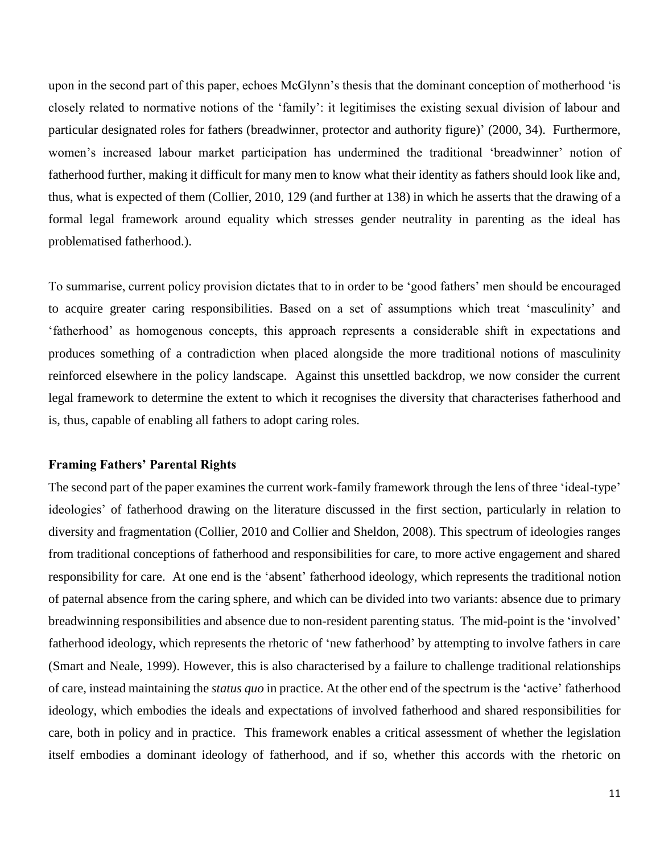upon in the second part of this paper, echoes McGlynn's thesis that the dominant conception of motherhood 'is closely related to normative notions of the 'family': it legitimises the existing sexual division of labour and particular designated roles for fathers (breadwinner, protector and authority figure)' (2000, 34). Furthermore, women's increased labour market participation has undermined the traditional 'breadwinner' notion of fatherhood further, making it difficult for many men to know what their identity as fathers should look like and, thus, what is expected of them (Collier, 2010, 129 (and further at 138) in which he asserts that the drawing of a formal legal framework around equality which stresses gender neutrality in parenting as the ideal has problematised fatherhood.).

To summarise, current policy provision dictates that to in order to be 'good fathers' men should be encouraged to acquire greater caring responsibilities. Based on a set of assumptions which treat 'masculinity' and 'fatherhood' as homogenous concepts, this approach represents a considerable shift in expectations and produces something of a contradiction when placed alongside the more traditional notions of masculinity reinforced elsewhere in the policy landscape. Against this unsettled backdrop, we now consider the current legal framework to determine the extent to which it recognises the diversity that characterises fatherhood and is, thus, capable of enabling all fathers to adopt caring roles.

### **Framing Fathers' Parental Rights**

The second part of the paper examines the current work-family framework through the lens of three 'ideal-type' ideologies' of fatherhood drawing on the literature discussed in the first section, particularly in relation to diversity and fragmentation (Collier, 2010 and Collier and Sheldon, 2008). This spectrum of ideologies ranges from traditional conceptions of fatherhood and responsibilities for care, to more active engagement and shared responsibility for care. At one end is the 'absent' fatherhood ideology, which represents the traditional notion of paternal absence from the caring sphere, and which can be divided into two variants: absence due to primary breadwinning responsibilities and absence due to non-resident parenting status. The mid-point is the 'involved' fatherhood ideology, which represents the rhetoric of 'new fatherhood' by attempting to involve fathers in care (Smart and Neale, 1999). However, this is also characterised by a failure to challenge traditional relationships of care, instead maintaining the *status quo* in practice. At the other end of the spectrum is the 'active' fatherhood ideology, which embodies the ideals and expectations of involved fatherhood and shared responsibilities for care, both in policy and in practice. This framework enables a critical assessment of whether the legislation itself embodies a dominant ideology of fatherhood, and if so, whether this accords with the rhetoric on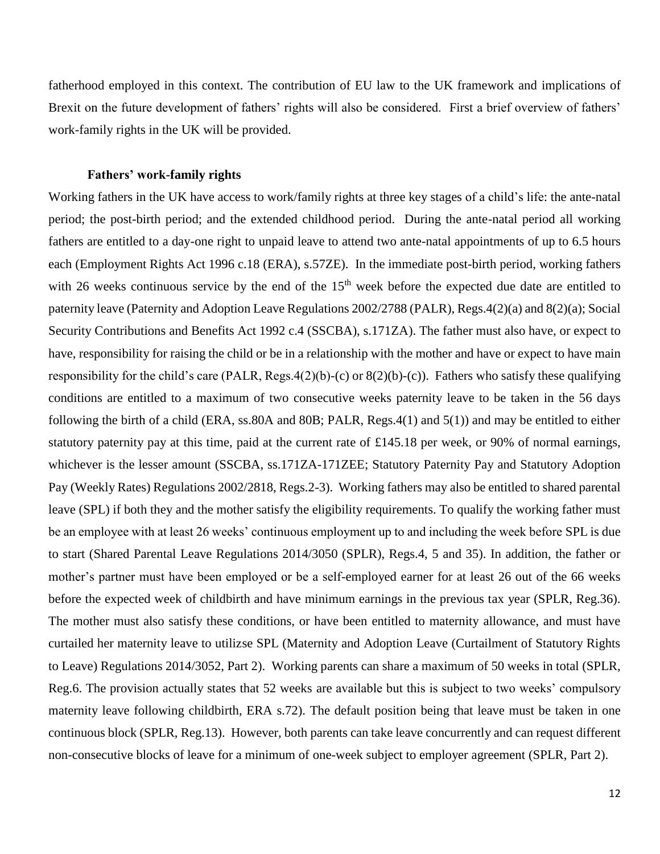fatherhood employed in this context. The contribution of EU law to the UK framework and implications of Brexit on the future development of fathers' rights will also be considered. First a brief overview of fathers' work-family rights in the UK will be provided.

## **Fathers' work-family rights**

Working fathers in the UK have access to work/family rights at three key stages of a child's life: the ante-natal period; the post-birth period; and the extended childhood period. During the ante-natal period all working fathers are entitled to a day-one right to unpaid leave to attend two ante-natal appointments of up to 6.5 hours each (Employment Rights Act 1996 c.18 (ERA), s.57ZE). In the immediate post-birth period, working fathers with 26 weeks continuous service by the end of the  $15<sup>th</sup>$  week before the expected due date are entitled to paternity leave (Paternity and Adoption Leave Regulations 2002/2788 (PALR), Regs.4(2)(a) and 8(2)(a); Social Security Contributions and Benefits Act 1992 c.4 (SSCBA), s.171ZA). The father must also have, or expect to have, responsibility for raising the child or be in a relationship with the mother and have or expect to have main responsibility for the child's care (PALR, Regs.4(2)(b)-(c) or  $8(2)(b)$ -(c)). Fathers who satisfy these qualifying conditions are entitled to a maximum of two consecutive weeks paternity leave to be taken in the 56 days following the birth of a child (ERA, ss.80A and 80B; PALR, Regs.4(1) and 5(1)) and may be entitled to either statutory paternity pay at this time, paid at the current rate of £145.18 per week, or 90% of normal earnings, whichever is the lesser amount (SSCBA, ss.171ZA-171ZEE; Statutory Paternity Pay and Statutory Adoption Pay (Weekly Rates) Regulations 2002/2818, Regs.2-3). Working fathers may also be entitled to shared parental leave (SPL) if both they and the mother satisfy the eligibility requirements. To qualify the working father must be an employee with at least 26 weeks' continuous employment up to and including the week before SPL is due to start (Shared Parental Leave Regulations 2014/3050 (SPLR), Regs.4, 5 and 35). In addition, the father or mother's partner must have been employed or be a self-employed earner for at least 26 out of the 66 weeks before the expected week of childbirth and have minimum earnings in the previous tax year (SPLR, Reg.36). The mother must also satisfy these conditions, or have been entitled to maternity allowance, and must have curtailed her maternity leave to utilizse SPL (Maternity and Adoption Leave (Curtailment of Statutory Rights to Leave) Regulations 2014/3052, Part 2). Working parents can share a maximum of 50 weeks in total (SPLR, Reg.6. The provision actually states that 52 weeks are available but this is subject to two weeks' compulsory maternity leave following childbirth, ERA s.72). The default position being that leave must be taken in one continuous block (SPLR, Reg.13). However, both parents can take leave concurrently and can request different non-consecutive blocks of leave for a minimum of one-week subject to employer agreement (SPLR, Part 2).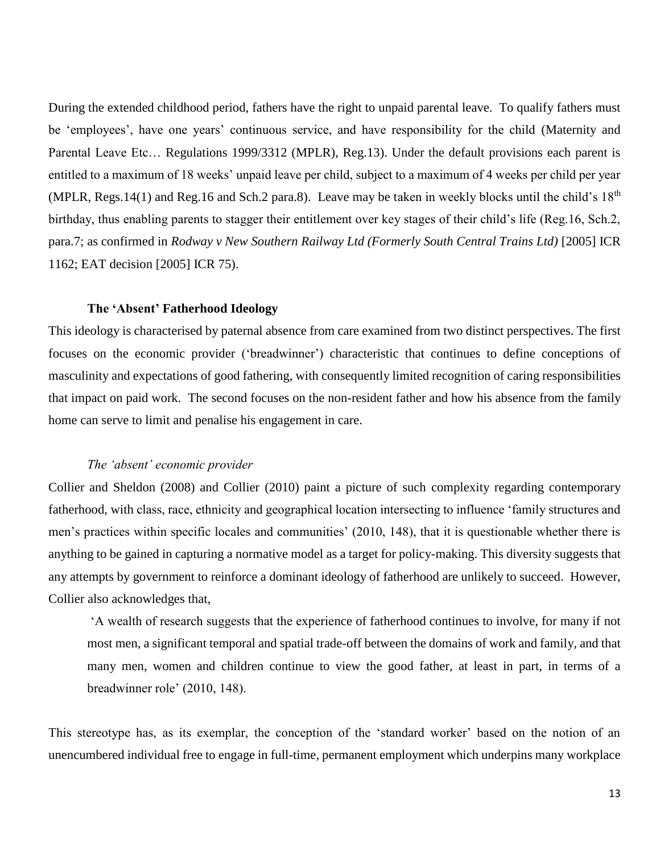During the extended childhood period, fathers have the right to unpaid parental leave. To qualify fathers must be 'employees', have one years' continuous service, and have responsibility for the child (Maternity and Parental Leave Etc… Regulations 1999/3312 (MPLR), Reg.13). Under the default provisions each parent is entitled to a maximum of 18 weeks' unpaid leave per child, subject to a maximum of 4 weeks per child per year (MPLR, Regs. 14(1) and Reg. 16 and Sch. 2 para. 8). Leave may be taken in weekly blocks until the child's  $18<sup>th</sup>$ birthday, thus enabling parents to stagger their entitlement over key stages of their child's life (Reg.16, Sch.2, para.7; as confirmed in *Rodway v New Southern Railway Ltd (Formerly South Central Trains Ltd)* [2005] ICR 1162; EAT decision [2005] ICR 75).

## **The 'Absent' Fatherhood Ideology**

This ideology is characterised by paternal absence from care examined from two distinct perspectives. The first focuses on the economic provider ('breadwinner') characteristic that continues to define conceptions of masculinity and expectations of good fathering, with consequently limited recognition of caring responsibilities that impact on paid work. The second focuses on the non-resident father and how his absence from the family home can serve to limit and penalise his engagement in care.

## *The 'absent' economic provider*

Collier and Sheldon (2008) and Collier (2010) paint a picture of such complexity regarding contemporary fatherhood, with class, race, ethnicity and geographical location intersecting to influence 'family structures and men's practices within specific locales and communities' (2010, 148), that it is questionable whether there is anything to be gained in capturing a normative model as a target for policy-making. This diversity suggests that any attempts by government to reinforce a dominant ideology of fatherhood are unlikely to succeed. However, Collier also acknowledges that,

'A wealth of research suggests that the experience of fatherhood continues to involve, for many if not most men, a significant temporal and spatial trade-off between the domains of work and family, and that many men, women and children continue to view the good father, at least in part, in terms of a breadwinner role' (2010, 148).

This stereotype has, as its exemplar, the conception of the 'standard worker' based on the notion of an unencumbered individual free to engage in full-time, permanent employment which underpins many workplace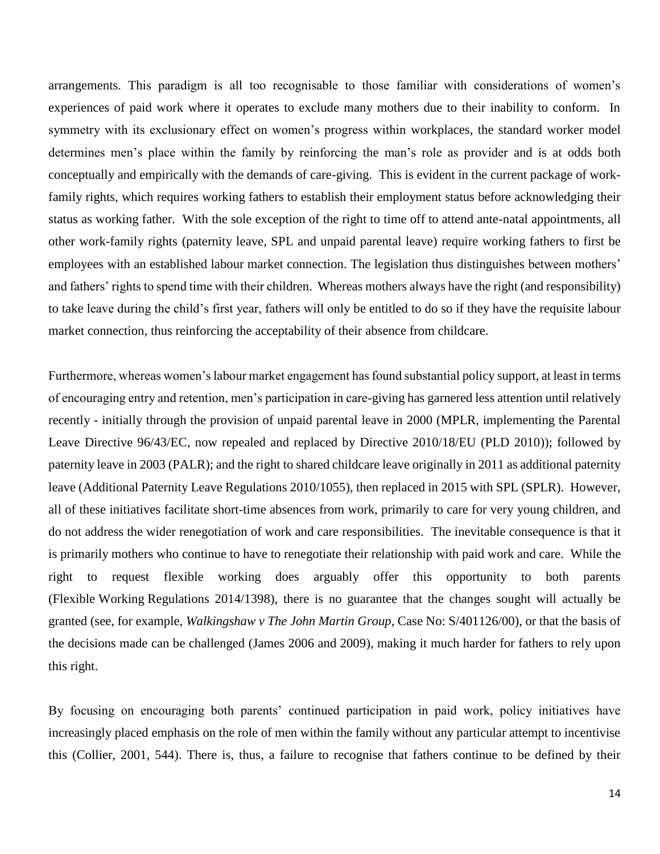arrangements. This paradigm is all too recognisable to those familiar with considerations of women's experiences of paid work where it operates to exclude many mothers due to their inability to conform. In symmetry with its exclusionary effect on women's progress within workplaces, the standard worker model determines men's place within the family by reinforcing the man's role as provider and is at odds both conceptually and empirically with the demands of care-giving. This is evident in the current package of workfamily rights, which requires working fathers to establish their employment status before acknowledging their status as working father. With the sole exception of the right to time off to attend ante-natal appointments, all other work-family rights (paternity leave, SPL and unpaid parental leave) require working fathers to first be employees with an established labour market connection. The legislation thus distinguishes between mothers' and fathers' rights to spend time with their children. Whereas mothers always have the right (and responsibility) to take leave during the child's first year, fathers will only be entitled to do so if they have the requisite labour market connection, thus reinforcing the acceptability of their absence from childcare.

Furthermore, whereas women's labour market engagement has found substantial policy support, at least in terms of encouraging entry and retention, men's participation in care-giving has garnered less attention until relatively recently - initially through the provision of unpaid parental leave in 2000 (MPLR, implementing the Parental Leave Directive 96/43/EC, now repealed and replaced by Directive 2010/18/EU (PLD 2010)); followed by paternity leave in 2003 (PALR); and the right to shared childcare leave originally in 2011 as additional paternity leave (Additional Paternity Leave Regulations 2010/1055), then replaced in 2015 with SPL (SPLR). However, all of these initiatives facilitate short-time absences from work, primarily to care for very young children, and do not address the wider renegotiation of work and care responsibilities. The inevitable consequence is that it is primarily mothers who continue to have to renegotiate their relationship with paid work and care. While the right to request flexible working does arguably offer this opportunity to both parents (Flexible Working Regulations 2014/1398), there is no guarantee that the changes sought will actually be granted (see, for example, *Walkingshaw v The John Martin Group*, Case No: S/401126/00), or that the basis of the decisions made can be challenged (James 2006 and 2009), making it much harder for fathers to rely upon this right.

By focusing on encouraging both parents' continued participation in paid work, policy initiatives have increasingly placed emphasis on the role of men within the family without any particular attempt to incentivise this (Collier, 2001, 544). There is, thus, a failure to recognise that fathers continue to be defined by their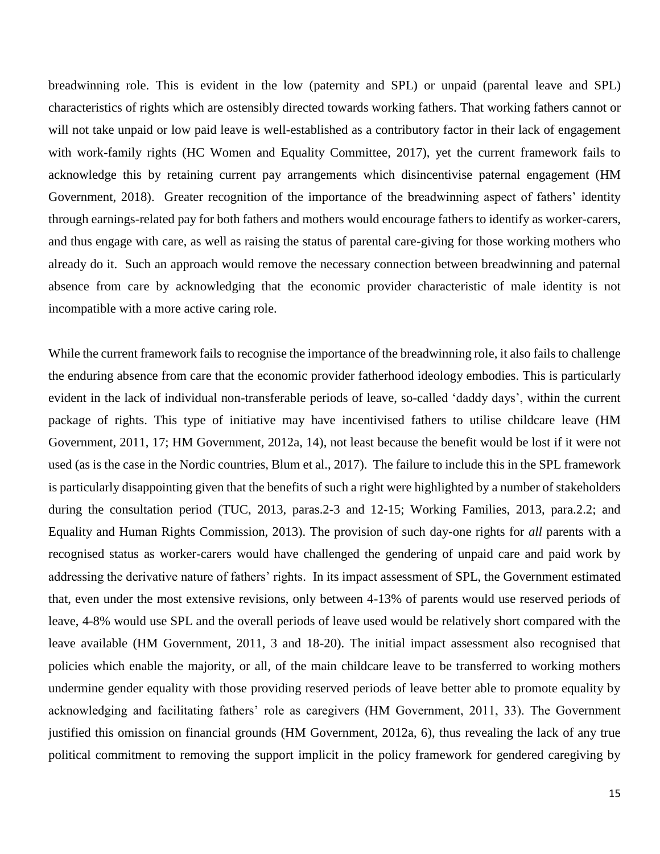breadwinning role. This is evident in the low (paternity and SPL) or unpaid (parental leave and SPL) characteristics of rights which are ostensibly directed towards working fathers. That working fathers cannot or will not take unpaid or low paid leave is well-established as a contributory factor in their lack of engagement with work-family rights (HC Women and Equality Committee, 2017), yet the current framework fails to acknowledge this by retaining current pay arrangements which disincentivise paternal engagement (HM Government, 2018). Greater recognition of the importance of the breadwinning aspect of fathers' identity through earnings-related pay for both fathers and mothers would encourage fathers to identify as worker-carers, and thus engage with care, as well as raising the status of parental care-giving for those working mothers who already do it. Such an approach would remove the necessary connection between breadwinning and paternal absence from care by acknowledging that the economic provider characteristic of male identity is not incompatible with a more active caring role.

While the current framework fails to recognise the importance of the breadwinning role, it also fails to challenge the enduring absence from care that the economic provider fatherhood ideology embodies. This is particularly evident in the lack of individual non-transferable periods of leave, so-called 'daddy days', within the current package of rights. This type of initiative may have incentivised fathers to utilise childcare leave (HM Government, 2011, 17; HM Government, 2012a, 14), not least because the benefit would be lost if it were not used (as is the case in the Nordic countries, Blum et al., 2017). The failure to include this in the SPL framework is particularly disappointing given that the benefits of such a right were highlighted by a number of stakeholders during the consultation period (TUC, 2013, paras.2-3 and 12-15; Working Families, 2013, para.2.2; and Equality and Human Rights Commission, 2013). The provision of such day-one rights for *all* parents with a recognised status as worker-carers would have challenged the gendering of unpaid care and paid work by addressing the derivative nature of fathers' rights. In its impact assessment of SPL, the Government estimated that, even under the most extensive revisions, only between 4-13% of parents would use reserved periods of leave, 4-8% would use SPL and the overall periods of leave used would be relatively short compared with the leave available (HM Government, 2011, 3 and 18-20). The initial impact assessment also recognised that policies which enable the majority, or all, of the main childcare leave to be transferred to working mothers undermine gender equality with those providing reserved periods of leave better able to promote equality by acknowledging and facilitating fathers' role as caregivers (HM Government, 2011, 33). The Government justified this omission on financial grounds (HM Government, 2012a, 6), thus revealing the lack of any true political commitment to removing the support implicit in the policy framework for gendered caregiving by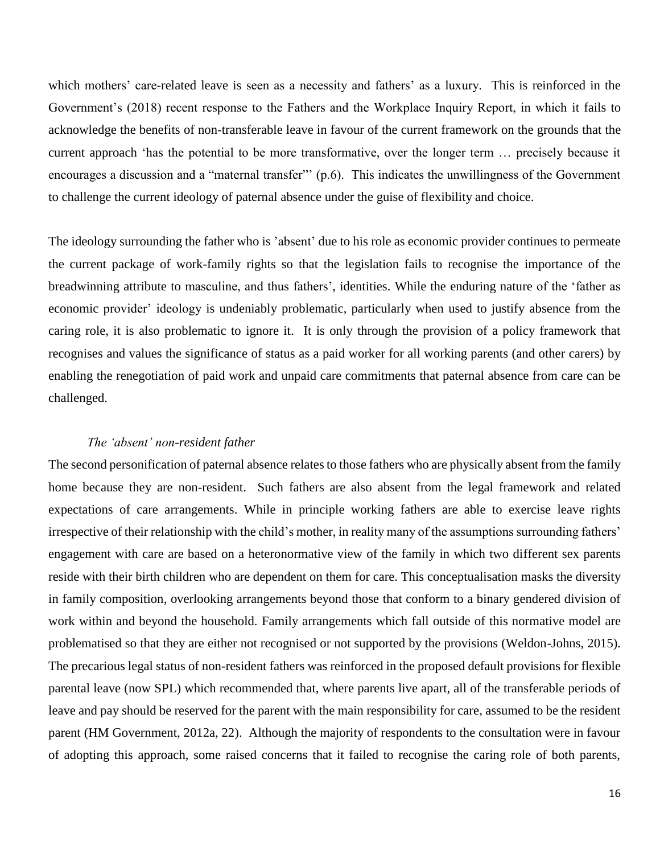which mothers' care-related leave is seen as a necessity and fathers' as a luxury. This is reinforced in the Government's (2018) recent response to the Fathers and the Workplace Inquiry Report, in which it fails to acknowledge the benefits of non-transferable leave in favour of the current framework on the grounds that the current approach 'has the potential to be more transformative, over the longer term … precisely because it encourages a discussion and a "maternal transfer"' (p.6). This indicates the unwillingness of the Government to challenge the current ideology of paternal absence under the guise of flexibility and choice.

The ideology surrounding the father who is 'absent' due to his role as economic provider continues to permeate the current package of work-family rights so that the legislation fails to recognise the importance of the breadwinning attribute to masculine, and thus fathers', identities. While the enduring nature of the 'father as economic provider' ideology is undeniably problematic, particularly when used to justify absence from the caring role, it is also problematic to ignore it. It is only through the provision of a policy framework that recognises and values the significance of status as a paid worker for all working parents (and other carers) by enabling the renegotiation of paid work and unpaid care commitments that paternal absence from care can be challenged.

#### *The 'absent' non-resident father*

The second personification of paternal absence relates to those fathers who are physically absent from the family home because they are non-resident. Such fathers are also absent from the legal framework and related expectations of care arrangements. While in principle working fathers are able to exercise leave rights irrespective of their relationship with the child's mother, in reality many of the assumptions surrounding fathers' engagement with care are based on a heteronormative view of the family in which two different sex parents reside with their birth children who are dependent on them for care. This conceptualisation masks the diversity in family composition, overlooking arrangements beyond those that conform to a binary gendered division of work within and beyond the household. Family arrangements which fall outside of this normative model are problematised so that they are either not recognised or not supported by the provisions (Weldon-Johns, 2015). The precarious legal status of non-resident fathers was reinforced in the proposed default provisions for flexible parental leave (now SPL) which recommended that, where parents live apart, all of the transferable periods of leave and pay should be reserved for the parent with the main responsibility for care, assumed to be the resident parent (HM Government, 2012a, 22). Although the majority of respondents to the consultation were in favour of adopting this approach, some raised concerns that it failed to recognise the caring role of both parents,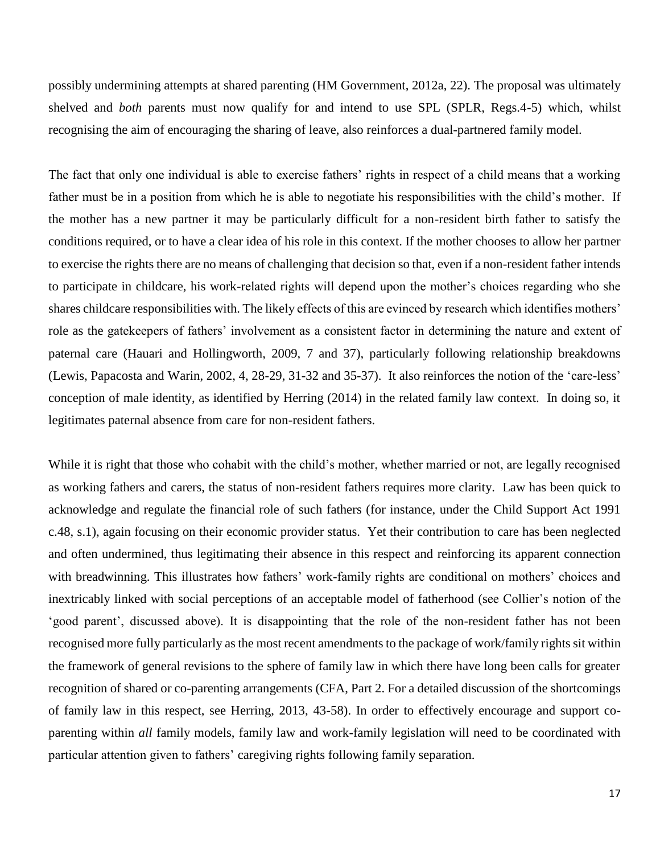possibly undermining attempts at shared parenting (HM Government, 2012a, 22). The proposal was ultimately shelved and *both* parents must now qualify for and intend to use SPL (SPLR, Regs.4-5) which, whilst recognising the aim of encouraging the sharing of leave, also reinforces a dual-partnered family model.

The fact that only one individual is able to exercise fathers' rights in respect of a child means that a working father must be in a position from which he is able to negotiate his responsibilities with the child's mother. If the mother has a new partner it may be particularly difficult for a non-resident birth father to satisfy the conditions required, or to have a clear idea of his role in this context. If the mother chooses to allow her partner to exercise the rights there are no means of challenging that decision so that, even if a non-resident father intends to participate in childcare, his work-related rights will depend upon the mother's choices regarding who she shares childcare responsibilities with. The likely effects of this are evinced by research which identifies mothers' role as the gatekeepers of fathers' involvement as a consistent factor in determining the nature and extent of paternal care (Hauari and Hollingworth, 2009, 7 and 37), particularly following relationship breakdowns (Lewis, Papacosta and Warin, 2002, 4, 28-29, 31-32 and 35-37). It also reinforces the notion of the 'care-less' conception of male identity, as identified by Herring (2014) in the related family law context. In doing so, it legitimates paternal absence from care for non-resident fathers.

While it is right that those who cohabit with the child's mother, whether married or not, are legally recognised as working fathers and carers, the status of non-resident fathers requires more clarity. Law has been quick to acknowledge and regulate the financial role of such fathers (for instance, under the Child Support Act 1991 c.48, s.1), again focusing on their economic provider status. Yet their contribution to care has been neglected and often undermined, thus legitimating their absence in this respect and reinforcing its apparent connection with breadwinning. This illustrates how fathers' work-family rights are conditional on mothers' choices and inextricably linked with social perceptions of an acceptable model of fatherhood (see Collier's notion of the 'good parent', discussed above). It is disappointing that the role of the non-resident father has not been recognised more fully particularly as the most recent amendments to the package of work/family rights sit within the framework of general revisions to the sphere of family law in which there have long been calls for greater recognition of shared or co-parenting arrangements (CFA, Part 2. For a detailed discussion of the shortcomings of family law in this respect, see Herring, 2013, 43-58). In order to effectively encourage and support coparenting within *all* family models, family law and work-family legislation will need to be coordinated with particular attention given to fathers' caregiving rights following family separation.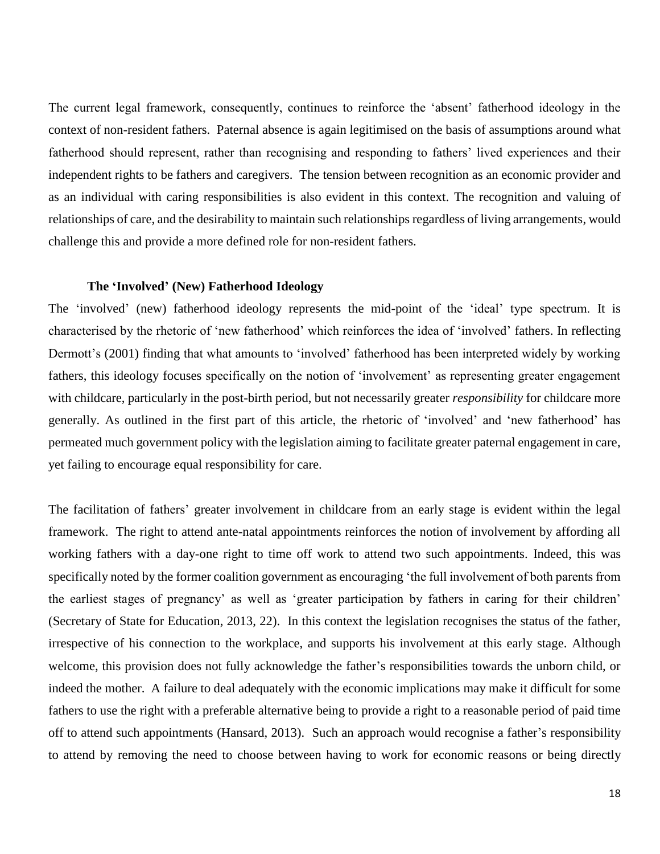The current legal framework, consequently, continues to reinforce the 'absent' fatherhood ideology in the context of non-resident fathers. Paternal absence is again legitimised on the basis of assumptions around what fatherhood should represent, rather than recognising and responding to fathers' lived experiences and their independent rights to be fathers and caregivers. The tension between recognition as an economic provider and as an individual with caring responsibilities is also evident in this context. The recognition and valuing of relationships of care, and the desirability to maintain such relationships regardless of living arrangements, would challenge this and provide a more defined role for non-resident fathers.

## **The 'Involved' (New) Fatherhood Ideology**

The 'involved' (new) fatherhood ideology represents the mid-point of the 'ideal' type spectrum. It is characterised by the rhetoric of 'new fatherhood' which reinforces the idea of 'involved' fathers. In reflecting Dermott's (2001) finding that what amounts to 'involved' fatherhood has been interpreted widely by working fathers, this ideology focuses specifically on the notion of 'involvement' as representing greater engagement with childcare, particularly in the post-birth period, but not necessarily greater *responsibility* for childcare more generally. As outlined in the first part of this article, the rhetoric of 'involved' and 'new fatherhood' has permeated much government policy with the legislation aiming to facilitate greater paternal engagement in care, yet failing to encourage equal responsibility for care.

The facilitation of fathers' greater involvement in childcare from an early stage is evident within the legal framework. The right to attend ante-natal appointments reinforces the notion of involvement by affording all working fathers with a day-one right to time off work to attend two such appointments. Indeed, this was specifically noted by the former coalition government as encouraging 'the full involvement of both parents from the earliest stages of pregnancy' as well as 'greater participation by fathers in caring for their children' (Secretary of State for Education, 2013, 22). In this context the legislation recognises the status of the father, irrespective of his connection to the workplace, and supports his involvement at this early stage. Although welcome, this provision does not fully acknowledge the father's responsibilities towards the unborn child, or indeed the mother. A failure to deal adequately with the economic implications may make it difficult for some fathers to use the right with a preferable alternative being to provide a right to a reasonable period of paid time off to attend such appointments (Hansard, 2013). Such an approach would recognise a father's responsibility to attend by removing the need to choose between having to work for economic reasons or being directly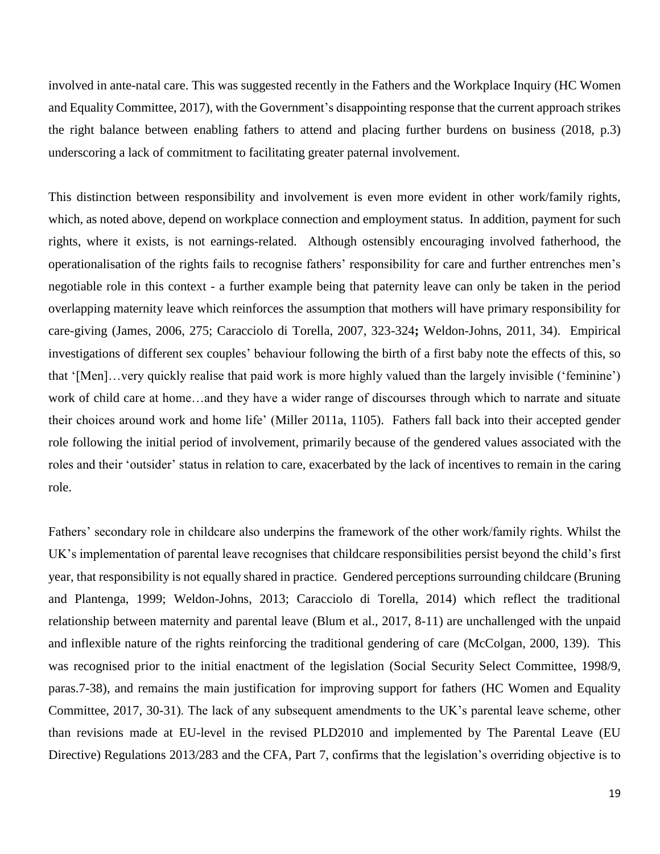involved in ante-natal care. This was suggested recently in the Fathers and the Workplace Inquiry (HC Women and Equality Committee, 2017), with the Government's disappointing response that the current approach strikes the right balance between enabling fathers to attend and placing further burdens on business (2018, p.3) underscoring a lack of commitment to facilitating greater paternal involvement.

This distinction between responsibility and involvement is even more evident in other work/family rights, which, as noted above, depend on workplace connection and employment status. In addition, payment for such rights, where it exists, is not earnings-related. Although ostensibly encouraging involved fatherhood, the operationalisation of the rights fails to recognise fathers' responsibility for care and further entrenches men's negotiable role in this context - a further example being that paternity leave can only be taken in the period overlapping maternity leave which reinforces the assumption that mothers will have primary responsibility for care-giving (James, 2006, 275; Caracciolo di Torella, 2007, 323-324**;** Weldon-Johns, 2011, 34). Empirical investigations of different sex couples' behaviour following the birth of a first baby note the effects of this, so that '[Men]…very quickly realise that paid work is more highly valued than the largely invisible ('feminine') work of child care at home…and they have a wider range of discourses through which to narrate and situate their choices around work and home life' (Miller 2011a, 1105). Fathers fall back into their accepted gender role following the initial period of involvement, primarily because of the gendered values associated with the roles and their 'outsider' status in relation to care, exacerbated by the lack of incentives to remain in the caring role.

Fathers' secondary role in childcare also underpins the framework of the other work/family rights. Whilst the UK's implementation of parental leave recognises that childcare responsibilities persist beyond the child's first year, that responsibility is not equally shared in practice. Gendered perceptions surrounding childcare (Bruning and Plantenga, 1999; Weldon-Johns, 2013; Caracciolo di Torella, 2014) which reflect the traditional relationship between maternity and parental leave (Blum et al., 2017, 8-11) are unchallenged with the unpaid and inflexible nature of the rights reinforcing the traditional gendering of care (McColgan, 2000, 139). This was recognised prior to the initial enactment of the legislation (Social Security Select Committee, 1998/9, paras.7-38), and remains the main justification for improving support for fathers (HC Women and Equality Committee, 2017, 30-31). The lack of any subsequent amendments to the UK's parental leave scheme, other than revisions made at EU-level in the revised PLD2010 and implemented by The Parental Leave (EU Directive) Regulations 2013/283 and the CFA, Part 7, confirms that the legislation's overriding objective is to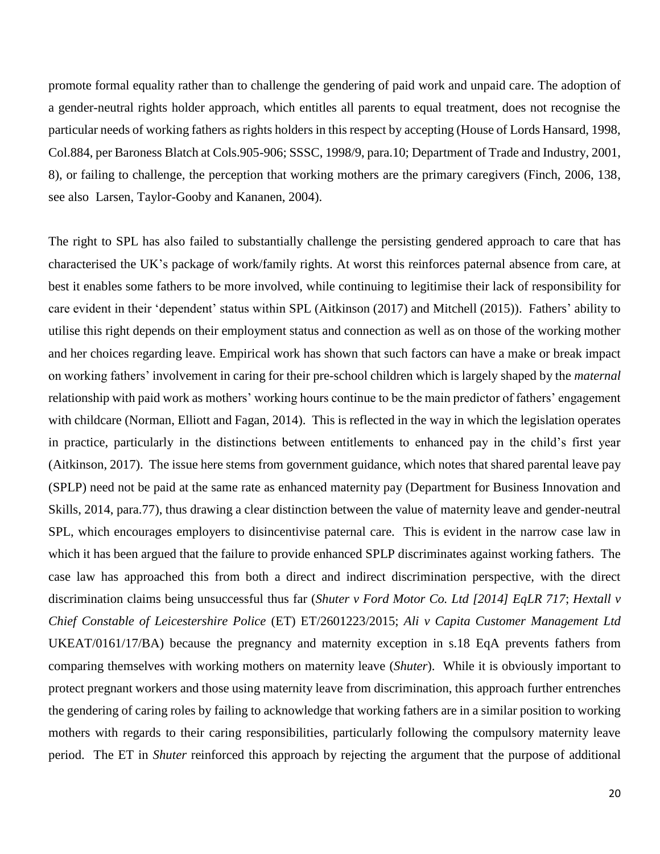promote formal equality rather than to challenge the gendering of paid work and unpaid care. The adoption of a gender-neutral rights holder approach, which entitles all parents to equal treatment, does not recognise the particular needs of working fathers as rights holders in this respect by accepting (House of Lords Hansard, 1998, Col.884, per Baroness Blatch at Cols.905-906; SSSC, 1998/9, para.10; Department of Trade and Industry, 2001, 8), or failing to challenge, the perception that working mothers are the primary caregivers (Finch, 2006, 138, see also Larsen, Taylor-Gooby and Kananen, 2004).

The right to SPL has also failed to substantially challenge the persisting gendered approach to care that has characterised the UK's package of work/family rights. At worst this reinforces paternal absence from care, at best it enables some fathers to be more involved, while continuing to legitimise their lack of responsibility for care evident in their 'dependent' status within SPL (Aitkinson (2017) and Mitchell (2015)). Fathers' ability to utilise this right depends on their employment status and connection as well as on those of the working mother and her choices regarding leave. Empirical work has shown that such factors can have a make or break impact on working fathers' involvement in caring for their pre-school children which is largely shaped by the *maternal* relationship with paid work as mothers' working hours continue to be the main predictor of fathers' engagement with childcare (Norman, Elliott and Fagan, 2014). This is reflected in the way in which the legislation operates in practice, particularly in the distinctions between entitlements to enhanced pay in the child's first year (Aitkinson, 2017). The issue here stems from government guidance, which notes that shared parental leave pay (SPLP) need not be paid at the same rate as enhanced maternity pay (Department for Business Innovation and Skills, 2014, para.77), thus drawing a clear distinction between the value of maternity leave and gender-neutral SPL, which encourages employers to disincentivise paternal care. This is evident in the narrow case law in which it has been argued that the failure to provide enhanced SPLP discriminates against working fathers. The case law has approached this from both a direct and indirect discrimination perspective, with the direct discrimination claims being unsuccessful thus far (*Shuter v Ford Motor Co. Ltd [2014] EqLR 717*; *Hextall v Chief Constable of Leicestershire Police* (ET) ET/2601223/2015; *Ali v Capita Customer Management Ltd* UKEAT/0161/17/BA) because the pregnancy and maternity exception in s.18 EqA prevents fathers from comparing themselves with working mothers on maternity leave (*Shuter*). While it is obviously important to protect pregnant workers and those using maternity leave from discrimination, this approach further entrenches the gendering of caring roles by failing to acknowledge that working fathers are in a similar position to working mothers with regards to their caring responsibilities, particularly following the compulsory maternity leave period. The ET in *Shuter* reinforced this approach by rejecting the argument that the purpose of additional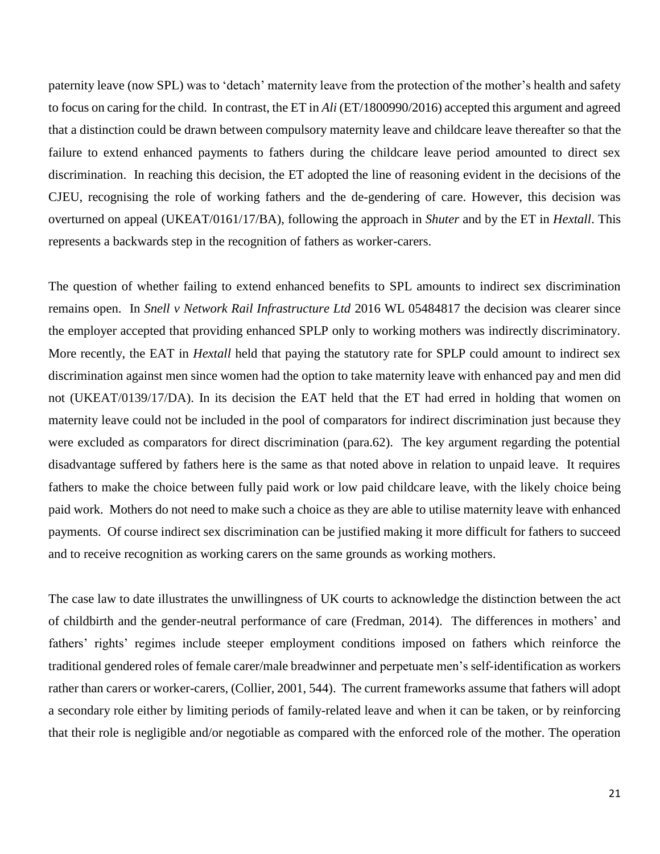paternity leave (now SPL) was to 'detach' maternity leave from the protection of the mother's health and safety to focus on caring for the child. In contrast, the ET in *Ali* (ET/1800990/2016) accepted this argument and agreed that a distinction could be drawn between compulsory maternity leave and childcare leave thereafter so that the failure to extend enhanced payments to fathers during the childcare leave period amounted to direct sex discrimination. In reaching this decision, the ET adopted the line of reasoning evident in the decisions of the CJEU, recognising the role of working fathers and the de-gendering of care. However, this decision was overturned on appeal (UKEAT/0161/17/BA), following the approach in *Shuter* and by the ET in *Hextall*. This represents a backwards step in the recognition of fathers as worker-carers.

The question of whether failing to extend enhanced benefits to SPL amounts to indirect sex discrimination remains open. In *Snell v Network Rail Infrastructure Ltd* 2016 WL 05484817 the decision was clearer since the employer accepted that providing enhanced SPLP only to working mothers was indirectly discriminatory. More recently, the EAT in *Hextall* held that paying the statutory rate for SPLP could amount to indirect sex discrimination against men since women had the option to take maternity leave with enhanced pay and men did not (UKEAT/0139/17/DA). In its decision the EAT held that the ET had erred in holding that women on maternity leave could not be included in the pool of comparators for indirect discrimination just because they were excluded as comparators for direct discrimination (para.62). The key argument regarding the potential disadvantage suffered by fathers here is the same as that noted above in relation to unpaid leave. It requires fathers to make the choice between fully paid work or low paid childcare leave, with the likely choice being paid work. Mothers do not need to make such a choice as they are able to utilise maternity leave with enhanced payments. Of course indirect sex discrimination can be justified making it more difficult for fathers to succeed and to receive recognition as working carers on the same grounds as working mothers.

The case law to date illustrates the unwillingness of UK courts to acknowledge the distinction between the act of childbirth and the gender-neutral performance of care (Fredman, 2014). The differences in mothers' and fathers' rights' regimes include steeper employment conditions imposed on fathers which reinforce the traditional gendered roles of female carer/male breadwinner and perpetuate men's self-identification as workers rather than carers or worker-carers, (Collier, 2001, 544). The current frameworks assume that fathers will adopt a secondary role either by limiting periods of family-related leave and when it can be taken, or by reinforcing that their role is negligible and/or negotiable as compared with the enforced role of the mother. The operation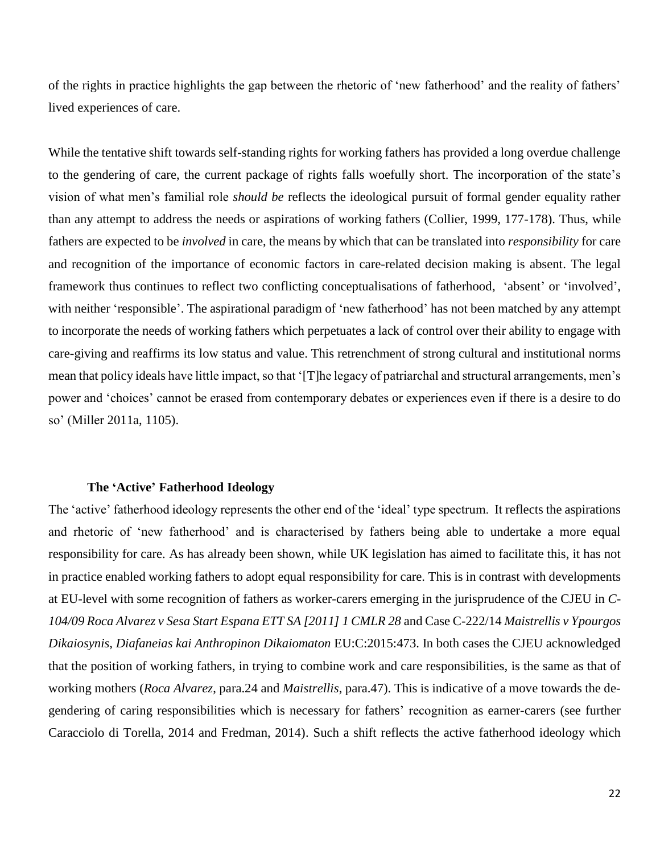of the rights in practice highlights the gap between the rhetoric of 'new fatherhood' and the reality of fathers' lived experiences of care.

While the tentative shift towards self-standing rights for working fathers has provided a long overdue challenge to the gendering of care, the current package of rights falls woefully short. The incorporation of the state's vision of what men's familial role *should be* reflects the ideological pursuit of formal gender equality rather than any attempt to address the needs or aspirations of working fathers (Collier, 1999, 177-178). Thus, while fathers are expected to be *involved* in care, the means by which that can be translated into *responsibility* for care and recognition of the importance of economic factors in care-related decision making is absent. The legal framework thus continues to reflect two conflicting conceptualisations of fatherhood, 'absent' or 'involved', with neither 'responsible'. The aspirational paradigm of 'new fatherhood' has not been matched by any attempt to incorporate the needs of working fathers which perpetuates a lack of control over their ability to engage with care-giving and reaffirms its low status and value. This retrenchment of strong cultural and institutional norms mean that policy ideals have little impact, so that '[T]he legacy of patriarchal and structural arrangements, men's power and 'choices' cannot be erased from contemporary debates or experiences even if there is a desire to do so' (Miller 2011a, 1105).

### **The 'Active' Fatherhood Ideology**

The 'active' fatherhood ideology represents the other end of the 'ideal' type spectrum. It reflects the aspirations and rhetoric of 'new fatherhood' and is characterised by fathers being able to undertake a more equal responsibility for care. As has already been shown, while UK legislation has aimed to facilitate this, it has not in practice enabled working fathers to adopt equal responsibility for care. This is in contrast with developments at EU-level with some recognition of fathers as worker-carers emerging in the jurisprudence of the CJEU in *C-104/09 Roca Alvarez v Sesa Start Espana ETT SA [2011] 1 CMLR 28* and Case C-222/14 *Maistrellis v Ypourgos Dikaiosynis, Diafaneias kai Anthropinon Dikaiomaton* EU:C:2015:473. In both cases the CJEU acknowledged that the position of working fathers, in trying to combine work and care responsibilities, is the same as that of working mothers (*Roca Alvarez*, para.24 and *Maistrellis*, para.47). This is indicative of a move towards the degendering of caring responsibilities which is necessary for fathers' recognition as earner-carers (see further Caracciolo di Torella, 2014 and Fredman, 2014). Such a shift reflects the active fatherhood ideology which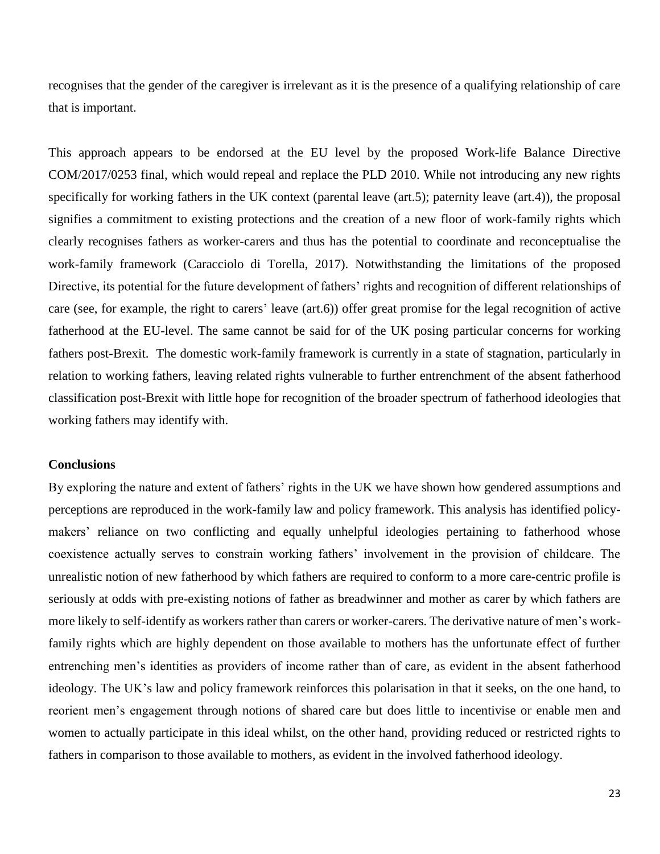recognises that the gender of the caregiver is irrelevant as it is the presence of a qualifying relationship of care that is important.

This approach appears to be endorsed at the EU level by the proposed Work-life Balance Directive COM/2017/0253 final, which would repeal and replace the PLD 2010. While not introducing any new rights specifically for working fathers in the UK context (parental leave (art.5); paternity leave (art.4)), the proposal signifies a commitment to existing protections and the creation of a new floor of work-family rights which clearly recognises fathers as worker-carers and thus has the potential to coordinate and reconceptualise the work-family framework (Caracciolo di Torella, 2017). Notwithstanding the limitations of the proposed Directive, its potential for the future development of fathers' rights and recognition of different relationships of care (see, for example, the right to carers' leave (art.6)) offer great promise for the legal recognition of active fatherhood at the EU-level. The same cannot be said for of the UK posing particular concerns for working fathers post-Brexit. The domestic work-family framework is currently in a state of stagnation, particularly in relation to working fathers, leaving related rights vulnerable to further entrenchment of the absent fatherhood classification post-Brexit with little hope for recognition of the broader spectrum of fatherhood ideologies that working fathers may identify with.

### **Conclusions**

By exploring the nature and extent of fathers' rights in the UK we have shown how gendered assumptions and perceptions are reproduced in the work-family law and policy framework. This analysis has identified policymakers' reliance on two conflicting and equally unhelpful ideologies pertaining to fatherhood whose coexistence actually serves to constrain working fathers' involvement in the provision of childcare. The unrealistic notion of new fatherhood by which fathers are required to conform to a more care-centric profile is seriously at odds with pre-existing notions of father as breadwinner and mother as carer by which fathers are more likely to self-identify as workers rather than carers or worker-carers. The derivative nature of men's workfamily rights which are highly dependent on those available to mothers has the unfortunate effect of further entrenching men's identities as providers of income rather than of care, as evident in the absent fatherhood ideology. The UK's law and policy framework reinforces this polarisation in that it seeks, on the one hand, to reorient men's engagement through notions of shared care but does little to incentivise or enable men and women to actually participate in this ideal whilst, on the other hand, providing reduced or restricted rights to fathers in comparison to those available to mothers, as evident in the involved fatherhood ideology.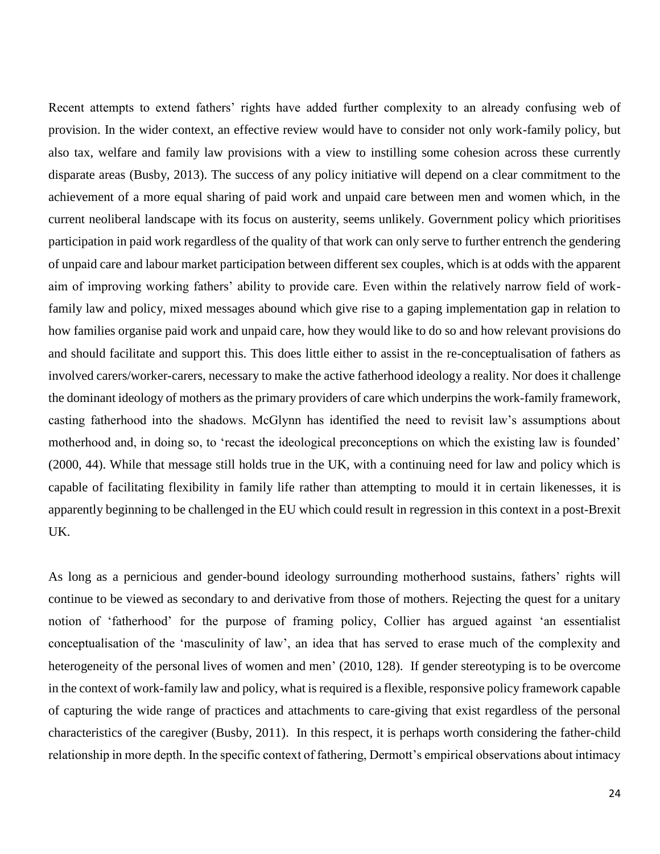Recent attempts to extend fathers' rights have added further complexity to an already confusing web of provision. In the wider context, an effective review would have to consider not only work-family policy, but also tax, welfare and family law provisions with a view to instilling some cohesion across these currently disparate areas (Busby, 2013). The success of any policy initiative will depend on a clear commitment to the achievement of a more equal sharing of paid work and unpaid care between men and women which, in the current neoliberal landscape with its focus on austerity, seems unlikely. Government policy which prioritises participation in paid work regardless of the quality of that work can only serve to further entrench the gendering of unpaid care and labour market participation between different sex couples, which is at odds with the apparent aim of improving working fathers' ability to provide care. Even within the relatively narrow field of workfamily law and policy, mixed messages abound which give rise to a gaping implementation gap in relation to how families organise paid work and unpaid care, how they would like to do so and how relevant provisions do and should facilitate and support this. This does little either to assist in the re-conceptualisation of fathers as involved carers/worker-carers, necessary to make the active fatherhood ideology a reality. Nor does it challenge the dominant ideology of mothers as the primary providers of care which underpins the work-family framework, casting fatherhood into the shadows. McGlynn has identified the need to revisit law's assumptions about motherhood and, in doing so, to 'recast the ideological preconceptions on which the existing law is founded' (2000, 44). While that message still holds true in the UK, with a continuing need for law and policy which is capable of facilitating flexibility in family life rather than attempting to mould it in certain likenesses, it is apparently beginning to be challenged in the EU which could result in regression in this context in a post-Brexit UK.

As long as a pernicious and gender-bound ideology surrounding motherhood sustains, fathers' rights will continue to be viewed as secondary to and derivative from those of mothers. Rejecting the quest for a unitary notion of 'fatherhood' for the purpose of framing policy, Collier has argued against 'an essentialist conceptualisation of the 'masculinity of law', an idea that has served to erase much of the complexity and heterogeneity of the personal lives of women and men' (2010, 128). If gender stereotyping is to be overcome in the context of work-family law and policy, what is required is a flexible, responsive policy framework capable of capturing the wide range of practices and attachments to care-giving that exist regardless of the personal characteristics of the caregiver (Busby, 2011). In this respect, it is perhaps worth considering the father-child relationship in more depth. In the specific context of fathering, Dermott's empirical observations about intimacy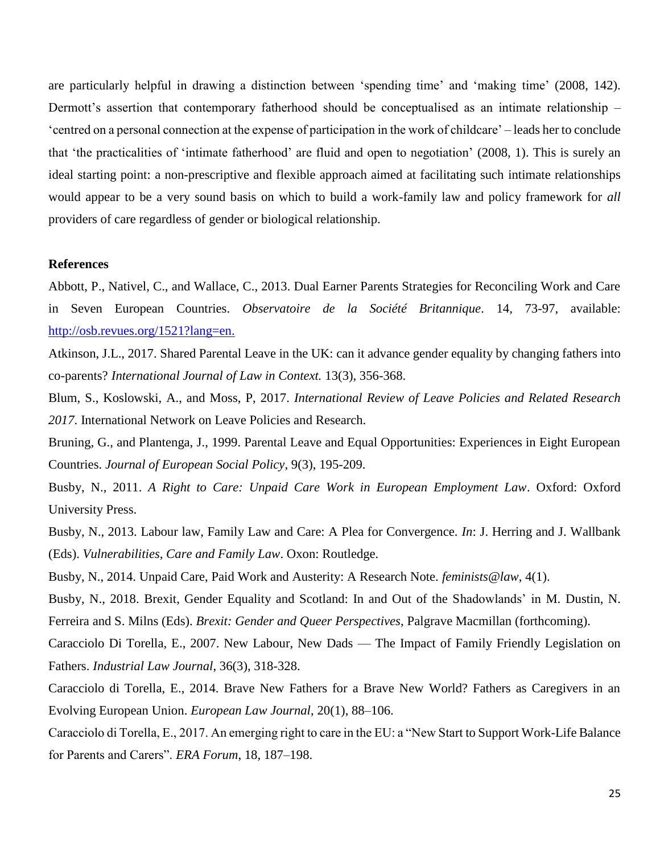are particularly helpful in drawing a distinction between 'spending time' and 'making time' (2008, 142). Dermott's assertion that contemporary fatherhood should be conceptualised as an intimate relationship – 'centred on a personal connection at the expense of participation in the work of childcare' – leads her to conclude that 'the practicalities of 'intimate fatherhood' are fluid and open to negotiation' (2008, 1). This is surely an ideal starting point: a non-prescriptive and flexible approach aimed at facilitating such intimate relationships would appear to be a very sound basis on which to build a work-family law and policy framework for *all* providers of care regardless of gender or biological relationship.

### **References**

Abbott, P., Nativel, C., and Wallace, C., 2013. Dual Earner Parents Strategies for Reconciling Work and Care in Seven European Countries. *Observatoire de la Société Britannique*. 14, 73-97, available: [http://osb.revues.org/1521?lang=en.](http://osb.revues.org/1521?lang=en)

Atkinson, J.L., 2017. Shared Parental Leave in the UK: can it advance gender equality by changing fathers into co-parents? *International Journal of Law in Context.* 13(3), 356-368.

Blum, S., Koslowski, A., and Moss, P, 2017. *International Review of Leave Policies and Related Research 2017*. International Network on Leave Policies and Research.

Bruning, G., and Plantenga, J., 1999. Parental Leave and Equal Opportunities: Experiences in Eight European Countries. *Journal of European Social Policy*, 9(3), 195-209.

Busby, N., 2011. *A Right to Care: Unpaid Care Work in European Employment Law*. Oxford: Oxford University Press.

Busby, N., 2013. Labour law, Family Law and Care: A Plea for Convergence. *In*: J. Herring and J. Wallbank (Eds). *Vulnerabilities, Care and Family Law*. Oxon: Routledge.

Busby, N., 2014. Unpaid Care, Paid Work and Austerity: A Research Note. *feminists@law*, 4(1).

Busby, N., 2018. Brexit, Gender Equality and Scotland: In and Out of the Shadowlands' in M. Dustin, N. Ferreira and S. Milns (Eds). *Brexit: Gender and Queer Perspectives*, Palgrave Macmillan (forthcoming).

Caracciolo Di Torella, E., 2007. New Labour, New Dads — The Impact of Family Friendly Legislation on Fathers. *Industrial Law Journal*, 36(3), 318-328.

Caracciolo di Torella, E., 2014. Brave New Fathers for a Brave New World? Fathers as Caregivers in an Evolving European Union. *European Law Journal*, 20(1), 88–106.

Caracciolo di Torella, E., 2017. An emerging right to care in the EU: a "New Start to Support Work-Life Balance for Parents and Carers". *ERA Forum*, 18, 187–198.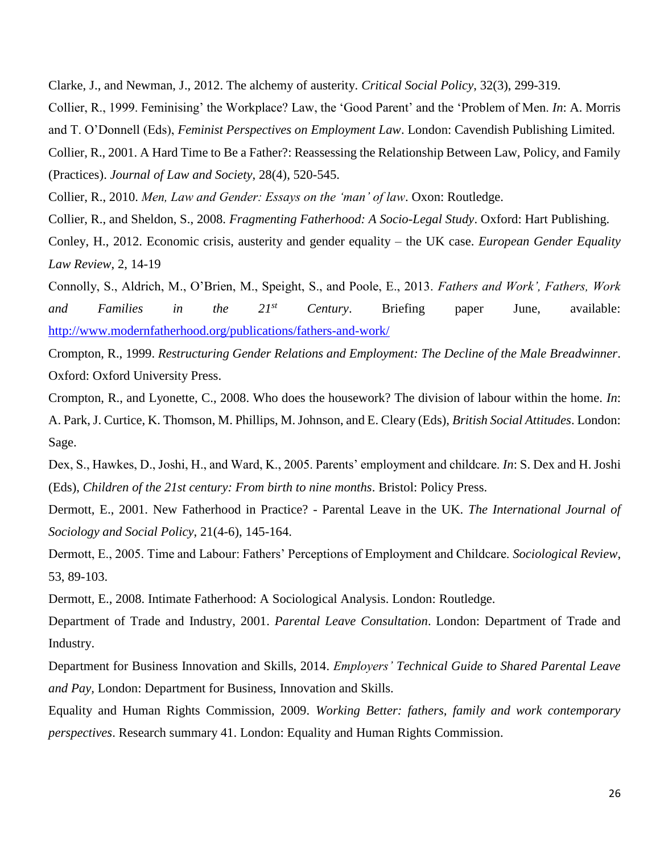Clarke, J., and Newman, J., 2012. The alchemy of austerity. *Critical Social Policy*, 32(3), 299-319.

Collier, R., 1999. Feminising' the Workplace? Law, the 'Good Parent' and the 'Problem of Men. *In*: A. Morris and T. O'Donnell (Eds), *Feminist Perspectives on Employment Law*. London: Cavendish Publishing Limited.

Collier, R., 2001. A Hard Time to Be a Father?: Reassessing the Relationship Between Law, Policy, and Family (Practices). *Journal of Law and Society*, 28(4), 520-545.

Collier, R., 2010. *Men, Law and Gender: Essays on the 'man' of law*. Oxon: Routledge.

Collier, R., and Sheldon, S., 2008. *Fragmenting Fatherhood: A Socio-Legal Study*. Oxford: Hart Publishing.

Conley, H., 2012. Economic crisis, austerity and gender equality – the UK case. *European Gender Equality Law Review*, 2, 14-19

Connolly, S., Aldrich, M., O'Brien, M., Speight, S., and Poole, E., 2013. *Fathers and Work', Fathers, Work and Families in the 21st Century*. Briefing paper June, available: <http://www.modernfatherhood.org/publications/fathers-and-work/>

Crompton, R., 1999. *Restructuring Gender Relations and Employment: The Decline of the Male Breadwinner*. Oxford: Oxford University Press.

Crompton, R., and Lyonette, C., 2008. Who does the housework? The division of labour within the home. *In*: A. Park, J. Curtice, K. Thomson, M. Phillips, M. Johnson, and E. Cleary (Eds), *British Social Attitudes*. London: Sage.

Dex, S., Hawkes, D., Joshi, H., and Ward, K., 2005. Parents' employment and childcare. *In*: S. Dex and H. Joshi (Eds), *Children of the 21st century: From birth to nine months*. Bristol: Policy Press.

Dermott, E., 2001. New Fatherhood in Practice? - Parental Leave in the UK. *The International Journal of Sociology and Social Policy*, 21(4-6), 145-164.

Dermott, E., 2005. Time and Labour: Fathers' Perceptions of Employment and Childcare. *Sociological Review*, 53, 89-103.

Dermott, E., 2008. Intimate Fatherhood: A Sociological Analysis. London: Routledge.

Department of Trade and Industry, 2001. *Parental Leave Consultation*. London: Department of Trade and Industry.

Department for Business Innovation and Skills, 2014. *Employers' Technical Guide to Shared Parental Leave and Pay,* London: Department for Business, Innovation and Skills.

Equality and Human Rights Commission, 2009. *Working Better: fathers, family and work contemporary perspectives*. Research summary 41. London: Equality and Human Rights Commission.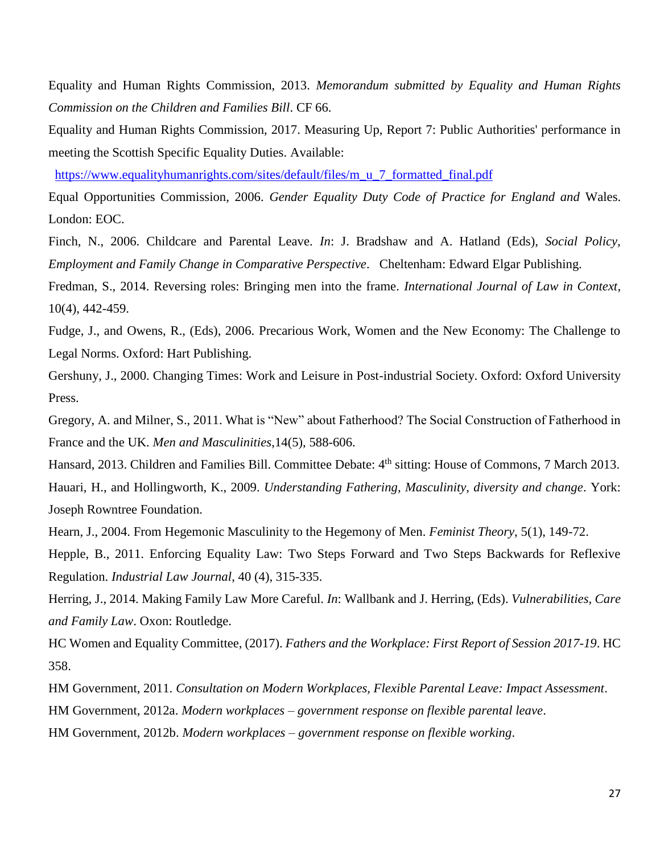Equality and Human Rights Commission, 2013. *Memorandum submitted by Equality and Human Rights Commission on the Children and Families Bill*. CF 66.

Equality and Human Rights Commission, 2017. Measuring Up, Report 7: Public Authorities' performance in meeting the Scottish Specific Equality Duties. Available:

[https://www.equalityhumanrights.com/sites/default/files/m\\_u\\_7\\_formatted\\_final.pdf](https://www.equalityhumanrights.com/sites/default/files/m_u_7_formatted_final.pdf) 

Equal Opportunities Commission, 2006. *Gender Equality Duty Code of Practice for England and* Wales. London: EOC.

Finch, N., 2006. Childcare and Parental Leave. *In*: J. Bradshaw and A. Hatland (Eds), *Social Policy, Employment and Family Change in Comparative Perspective*. Cheltenham: Edward Elgar Publishing.

Fredman, S., 2014. Reversing roles: Bringing men into the frame. *International Journal of Law in Context*, 10(4), 442-459.

Fudge, J., and Owens, R., (Eds), 2006. Precarious Work, Women and the New Economy: The Challenge to Legal Norms. Oxford: Hart Publishing.

Gershuny, J., 2000. Changing Times: Work and Leisure in Post-industrial Society. Oxford: Oxford University Press.

Gregory, A. and Milner, S., 2011. What is "New" about Fatherhood? The Social Construction of Fatherhood in France and the UK. *Men and Masculinities*,14(5), 588-606.

Hansard, 2013. Children and Families Bill. Committee Debate: 4<sup>th</sup> sitting: House of Commons, 7 March 2013. Hauari, H., and Hollingworth, K., 2009. *Understanding Fathering, Masculinity, diversity and change*. York: Joseph Rowntree Foundation.

Hearn, J., 2004. From Hegemonic Masculinity to the Hegemony of Men. *Feminist Theory*, 5(1), 149-72.

Hepple, B., 2011. Enforcing Equality Law: Two Steps Forward and Two Steps Backwards for Reflexive Regulation. *Industrial Law Journal*, 40 (4), 315-335.

Herring, J., 2014. Making Family Law More Careful. *In*: Wallbank and J. Herring, (Eds). *Vulnerabilities, Care and Family Law*. Oxon: Routledge.

HC Women and Equality Committee, (2017). *Fathers and the Workplace: First Report of Session 2017-19*. HC 358.

HM Government, 2011. *Consultation on Modern Workplaces, Flexible Parental Leave: Impact Assessment*.

HM Government, 2012a. *Modern workplaces – government response on flexible parental leave*.

HM Government, 2012b. *Modern workplaces – government response on flexible working*.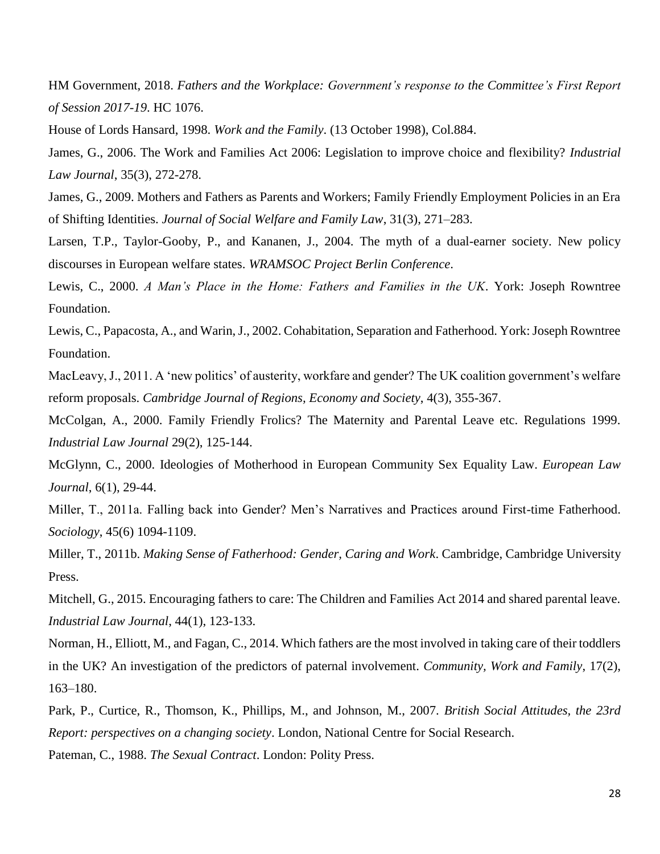HM Government, 2018. *Fathers and the Workplace: Government's response to the Committee's First Report of Session 2017-19*. HC 1076.

House of Lords Hansard, 1998. *Work and the Family*. (13 October 1998), Col.884.

James, G., 2006. The Work and Families Act 2006: Legislation to improve choice and flexibility? *Industrial Law Journal*, 35(3), 272-278.

James, G., 2009. Mothers and Fathers as Parents and Workers; Family Friendly Employment Policies in an Era of Shifting Identities. *Journal of Social Welfare and Family Law*, 31(3), 271–283.

Larsen, T.P., Taylor-Gooby, P., and Kananen, J., 2004. The myth of a dual-earner society. New policy discourses in European welfare states. *WRAMSOC Project Berlin Conference*.

Lewis, C., 2000. *A Man's Place in the Home: Fathers and Families in the UK*. York: Joseph Rowntree Foundation.

Lewis, C., Papacosta, A., and Warin, J., 2002. Cohabitation, Separation and Fatherhood. York: Joseph Rowntree Foundation.

MacLeavy, J., 2011. A 'new politics' of austerity, workfare and gender? The UK coalition government's welfare reform proposals. *Cambridge Journal of Regions, Economy and Society*, 4(3), 355-367.

McColgan, A., 2000. Family Friendly Frolics? The Maternity and Parental Leave etc. Regulations 1999. *Industrial Law Journal* 29(2), 125-144.

McGlynn, C., 2000. Ideologies of Motherhood in European Community Sex Equality Law. *European Law Journal*, 6(1), 29-44.

Miller, T., 2011a. Falling back into Gender? Men's Narratives and Practices around First-time Fatherhood. *Sociology*, 45(6) 1094-1109.

Miller, T., 2011b. *Making Sense of Fatherhood: Gender, Caring and Work*. Cambridge, Cambridge University Press.

Mitchell, G., 2015. Encouraging fathers to care: The Children and Families Act 2014 and shared parental leave. *Industrial Law Journal*, 44(1), 123-133.

Norman, H., Elliott, M., and Fagan, C., 2014. Which fathers are the most involved in taking care of their toddlers in the UK? An investigation of the predictors of paternal involvement. *Community, Work and Family*, 17(2), 163–180.

Park, P., Curtice, R., Thomson, K., Phillips, M., and Johnson, M., 2007. *British Social Attitudes, the 23rd Report: perspectives on a changing society*. London, National Centre for Social Research.

Pateman, C., 1988. *The Sexual Contract*. London: Polity Press.